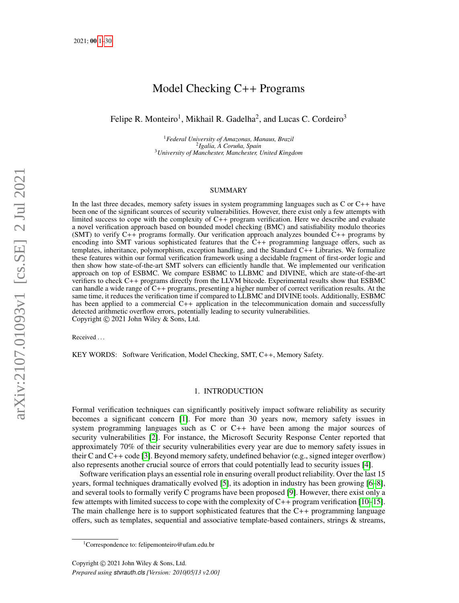# Model Checking C++ Programs

<span id="page-0-0"></span>Felipe R. Monteiro<sup>1</sup>, Mikhail R. Gadelha<sup>2</sup>, and Lucas C. Cordeiro<sup>3</sup>

<sup>1</sup>*Federal University of Amazonas, Manaus, Brazil* <sup>2</sup> Igalia, A Coruña, Spain <sup>3</sup>*University of Manchester, Manchester, United Kingdom*

## SUMMARY

In the last three decades, memory safety issues in system programming languages such as C or C++ have been one of the significant sources of security vulnerabilities. However, there exist only a few attempts with limited success to cope with the complexity of C++ program verification. Here we describe and evaluate a novel verification approach based on bounded model checking (BMC) and satisfiability modulo theories (SMT) to verify C++ programs formally. Our verification approach analyzes bounded C++ programs by encoding into SMT various sophisticated features that the  $C_{++}$  programming language offers, such as templates, inheritance, polymorphism, exception handling, and the Standard C++ Libraries. We formalize these features within our formal verification framework using a decidable fragment of first-order logic and then show how state-of-the-art SMT solvers can efficiently handle that. We implemented our verification approach on top of ESBMC. We compare ESBMC to LLBMC and DIVINE, which are state-of-the-art verifiers to check C++ programs directly from the LLVM bitcode. Experimental results show that ESBMC can handle a wide range of C++ programs, presenting a higher number of correct verification results. At the same time, it reduces the verification time if compared to LLBMC and DIVINE tools. Additionally, ESBMC has been applied to a commercial C++ application in the telecommunication domain and successfully detected arithmetic overflow errors, potentially leading to security vulnerabilities. Copyright © 2021 John Wiley & Sons, Ltd.

Received . . .

KEY WORDS: Software Verification, Model Checking, SMT, C++, Memory Safety.

# 1. INTRODUCTION

Formal verification techniques can significantly positively impact software reliability as security becomes a significant concern [\[1\]](#page-27-0). For more than 30 years now, memory safety issues in system programming languages such as C or C++ have been among the major sources of security vulnerabilities [\[2\]](#page-27-1). For instance, the Microsoft Security Response Center reported that approximately 70% of their security vulnerabilities every year are due to memory safety issues in their C and C++ code [\[3\]](#page-27-2). Beyond memory safety, undefined behavior (e.g., signed integer overflow) also represents another crucial source of errors that could potentially lead to security issues [\[4\]](#page-27-3).

Software verification plays an essential role in ensuring overall product reliability. Over the last 15 years, formal techniques dramatically evolved [\[5\]](#page-27-4), its adoption in industry has been growing [\[6–](#page-27-5)[8\]](#page-27-6), and several tools to formally verify C programs have been proposed [\[9\]](#page-27-7). However, there exist only a few attempts with limited success to cope with the complexity of C++ program verification [\[10–](#page-27-8)[15\]](#page-28-0). The main challenge here is to support sophisticated features that the  $C_{++}$  programming language offers, such as templates, sequential and associative template-based containers, strings & streams,

<sup>&</sup>lt;sup>1</sup>Correspondence to: felipemonteiro@ufam.edu.br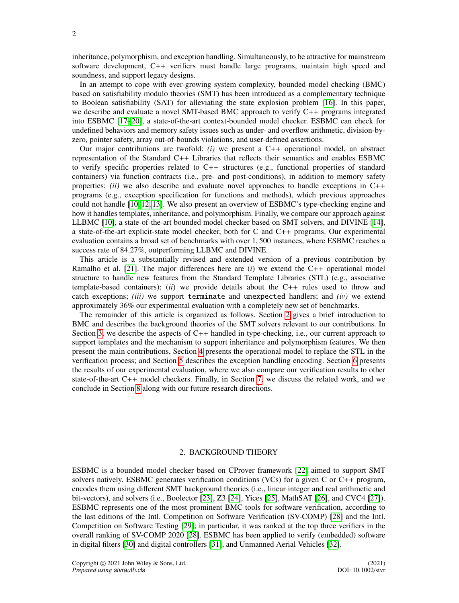inheritance, polymorphism, and exception handling. Simultaneously, to be attractive for mainstream software development, C++ verifiers must handle large programs, maintain high speed and soundness, and support legacy designs.

In an attempt to cope with ever-growing system complexity, bounded model checking (BMC) based on satisfiability modulo theories (SMT) has been introduced as a complementary technique to Boolean satisfiability (SAT) for alleviating the state explosion problem [\[16\]](#page-28-1). In this paper, we describe and evaluate a novel SMT-based BMC approach to verify C++ programs integrated into ESBMC [\[17–](#page-28-2)[20\]](#page-28-3), a state-of-the-art context-bounded model checker. ESBMC can check for undefined behaviors and memory safety issues such as under- and overflow arithmetic, division-byzero, pointer safety, array out-of-bounds violations, and user-defined assertions.

Our major contributions are twofold: *(i)* we present a C++ operational model, an abstract representation of the Standard C++ Libraries that reflects their semantics and enables ESBMC to verify specific properties related to C++ structures (e.g., functional properties of standard containers) via function contracts (i.e., pre- and post-conditions), in addition to memory safety properties; *(ii)* we also describe and evaluate novel approaches to handle exceptions in C++ programs (e.g., exception specification for functions and methods), which previous approaches could not handle [\[10,](#page-27-8) [12,](#page-28-4) [13\]](#page-28-5). We also present an overview of ESBMC's type-checking engine and how it handles templates, inheritance, and polymorphism. Finally, we compare our approach against LLBMC [\[10\]](#page-27-8), a state-of-the-art bounded model checker based on SMT solvers, and DIVINE [\[14\]](#page-28-6), a state-of-the-art explicit-state model checker, both for C and C++ programs. Our experimental evaluation contains a broad set of benchmarks with over 1, 500 instances, where ESBMC reaches a success rate of 84.27%, outperforming LLBMC and DIVINE.

This article is a substantially revised and extended version of a previous contribution by Ramalho et al. [\[21\]](#page-28-7). The major differences here are (*i*) we extend the C++ operational model structure to handle new features from the Standard Template Libraries (STL) (e.g., associative template-based containers); (*ii*) we provide details about the C++ rules used to throw and catch exceptions; *(iii)* we support terminate and unexpected handlers; and *(iv)* we extend approximately 36% our experimental evaluation with a completely new set of benchmarks.

The remainder of this article is organized as follows. Section [2](#page-1-0) gives a brief introduction to BMC and describes the background theories of the SMT solvers relevant to our contributions. In Section [3,](#page-3-0) we describe the aspects of  $C_{++}$  handled in type-checking, i.e., our current approach to support templates and the mechanism to support inheritance and polymorphism features. We then present the main contributions, Section [4](#page-8-0) presents the operational model to replace the STL in the verification process; and Section [5](#page-15-0) describes the exception handling encoding. Section [6](#page-19-0) presents the results of our experimental evaluation, where we also compare our verification results to other state-of-the-art C++ model checkers. Finally, in Section [7,](#page-24-0) we discuss the related work, and we conclude in Section [8](#page-26-0) along with our future research directions.

## 2. BACKGROUND THEORY

<span id="page-1-0"></span>ESBMC is a bounded model checker based on CProver framework [\[22\]](#page-28-8) aimed to support SMT solvers natively. ESBMC generates verification conditions (VCs) for a given C or  $C_{++}$  program, encodes them using different SMT background theories (i.e., linear integer and real arithmetic and bit-vectors), and solvers (i.e., Boolector [\[23\]](#page-28-9), Z3 [\[24\]](#page-28-10), Yices [\[25\]](#page-28-11), MathSAT [\[26\]](#page-28-12), and CVC4 [\[27\]](#page-28-13)). ESBMC represents one of the most prominent BMC tools for software verification, according to the last editions of the Intl. Competition on Software Verification (SV-COMP) [\[28\]](#page-28-14) and the Intl. Competition on Software Testing [\[29\]](#page-28-15); in particular, it was ranked at the top three verifiers in the overall ranking of SV-COMP 2020 [\[28\]](#page-28-14). ESBMC has been applied to verify (embedded) software in digital filters [\[30\]](#page-28-16) and digital controllers [\[31\]](#page-28-17), and Unmanned Aerial Vehicles [\[32\]](#page-28-18).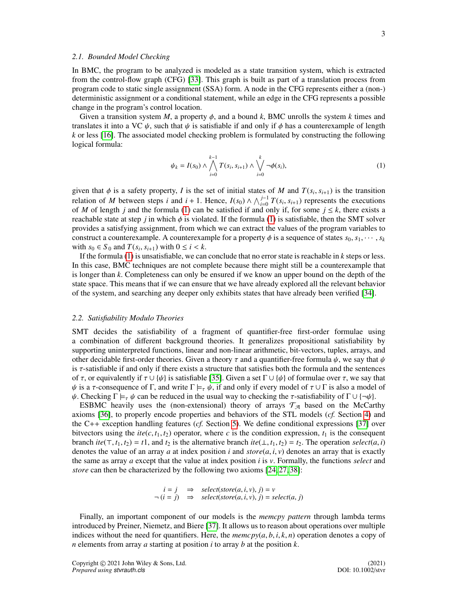# *2.1. Bounded Model Checking*

In BMC, the program to be analyzed is modeled as a state transition system, which is extracted from the control-flow graph (CFG) [\[33\]](#page-28-19). This graph is built as part of a translation process from program code to static single assignment (SSA) form. A node in the CFG represents either a (non-) deterministic assignment or a conditional statement, while an edge in the CFG represents a possible change in the program's control location.

Given a transition system *M*, a property  $\phi$ , and a bound *k*, BMC unrolls the system *k* times and translates it into a VC  $\psi$ , such that  $\psi$  is satisfiable if and only if  $\phi$  has a counterexample of length *k* or less [\[16\]](#page-28-1). The associated model checking problem is formulated by constructing the following logical formula:

<span id="page-2-0"></span>
$$
\psi_k = I(s_0) \wedge \bigwedge_{i=0}^{k-1} T(s_i, s_{i+1}) \wedge \bigvee_{i=0}^{k} \neg \phi(s_i), \tag{1}
$$

given that  $\phi$  is a safety property, *I* is the set of initial states of *M* and  $T(s_i, s_{i+1})$  is the transition<br>relation of *M* between staps *i* and  $i+1$  Hence  $I(s_0) \wedge \wedge^{j-1} T(s_0, s_{i+1})$  represents the executions relation of *M* between steps *i* and  $i + 1$ . Hence,  $I(s_0) \wedge \bigwedge_{i=0}^{j-1} T(s_i, s_{i+1})$  represents the executions of *M* of length *i* and the formula (1) can be satisfied if and only if for some  $i \leq k$  there exists a of *M* of length *j* and the formula [\(1\)](#page-2-0) can be satisfied if and only if, for some  $j \leq k$ , there exists a reachable state at step *j* in which  $\phi$  is violated. If the formula [\(1\)](#page-2-0) is satisfiable, then the SMT solver provides a satisfying assignment, from which we can extract the values of the program variables to construct a counterexample. A counterexample for a property  $\phi$  is a sequence of states  $s_0, s_1, \dots, s_k$ with  $s_0 \in S_0$  and  $T(s_i, s_{i+1})$  with  $0 \le i < k$ .<br>If the formula (1) is unsatisfiable, we can

If the formula [\(1\)](#page-2-0) is unsatisfiable, we can conclude that no error state is reachable in *k* steps or less. In this case, BMC techniques are not complete because there might still be a counterexample that is longer than *k*. Completeness can only be ensured if we know an upper bound on the depth of the state space. This means that if we can ensure that we have already explored all the relevant behavior of the system, and searching any deeper only exhibits states that have already been verified [\[34\]](#page-28-20).

## <span id="page-2-1"></span>*2.2. Satisfiability Modulo Theories*

SMT decides the satisfiability of a fragment of quantifier-free first-order formulae using a combination of different background theories. It generalizes propositional satisfiability by supporting uninterpreted functions, linear and non-linear arithmetic, bit-vectors, tuples, arrays, and other decidable first-order theories. Given a theory  $\tau$  and a quantifier-free formula  $\psi$ , we say that  $\psi$ is  $\tau$ -satisfiable if and only if there exists a structure that satisfies both the formula and the sentences of  $\tau$ , or equivalently if  $\tau \cup {\psi}$  is satisfiable [\[35\]](#page-28-21). Given a set  $\Gamma \cup {\psi}$  of formulae over  $\tau$ , we say that  $\psi$  is a  $\tau$ -consequence of Γ, and write  $\Gamma \models_\tau \psi$ , if and only if every model of  $\tau \cup \Gamma$  is also a model of  $\psi$ . Checking  $\Gamma \models_{\tau} \psi$  can be reduced in the usual way to checking the  $\tau$ -satisfiability of  $\Gamma \cup {\neg \psi}$ .

ESBMC heavily uses the (non-extensional) theory of arrays  $\mathcal{T}_{\mathcal{A}}$  based on the McCarthy axioms [\[36\]](#page-28-22), to properly encode properties and behaviors of the STL models (*cf.* Section [4\)](#page-8-0) and the C++ exception handling features (*cf.* Section [5\)](#page-15-0). We define conditional expressions [\[37\]](#page-28-23) over bitvectors using the  $ite(c, t_1, t_2)$  operator, where *c* is the condition expression,  $t_1$  is the consequent branch *ite*( $\top$ , *t*<sub>1</sub>, *t*<sub>2</sub>) = *t*1, and *t*<sub>2</sub> is the alternative branch *ite*( $\bot$ , *t*<sub>1</sub>, *t*<sub>2</sub>) = *t*<sub>2</sub>. The operation *select*( $a$ , *i*) denotes the value of an array *a* at index position *i* and  $store(a, i, v)$  denotes an array that is exactly the same as array *a* except that the value at index position *i* is *v*. Formally, the functions *select* and *store* can then be characterized by the following two axioms [\[24,](#page-28-10) [27,](#page-28-13) [38\]](#page-28-24):

$$
i = j \Rightarrow select(store(a, i, v), j) = v
$$
  
\n $\neg (i = j) \Rightarrow select(store(a, i, v), j) = select(a, j)$ 

Finally, an important component of our models is the *memcpy pattern* through lambda terms introduced by Preiner, Niemetz, and Biere [\[37\]](#page-28-23). It allows us to reason about operations over multiple indices without the need for quantifiers. Here, the  $\textit{memory}(a, b, i, k, n)$  operation denotes a copy of *n* elements from array *a* starting at position *i* to array *b* at the position *k*.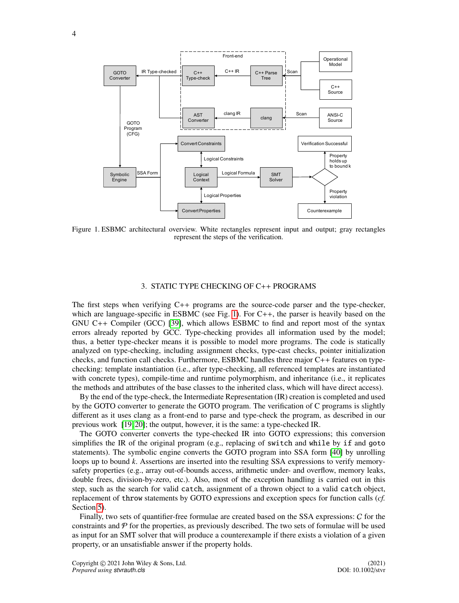<span id="page-3-1"></span>

Figure 1. ESBMC architectural overview. White rectangles represent input and output; gray rectangles represent the steps of the verification.

# 3. STATIC TYPE CHECKING OF C++ PROGRAMS

<span id="page-3-0"></span>The first steps when verifying C++ programs are the source-code parser and the type-checker, which are language-specific in ESBMC (see Fig. [1\)](#page-3-1). For C++, the parser is heavily based on the GNU C++ Compiler (GCC) [\[39\]](#page-28-25), which allows ESBMC to find and report most of the syntax errors already reported by GCC. Type-checking provides all information used by the model; thus, a better type-checker means it is possible to model more programs. The code is statically analyzed on type-checking, including assignment checks, type-cast checks, pointer initialization checks, and function call checks. Furthermore, ESBMC handles three major  $C_{++}$  features on typechecking: template instantiation (i.e., after type-checking, all referenced templates are instantiated with concrete types), compile-time and runtime polymorphism, and inheritance (i.e., it replicates the methods and attributes of the base classes to the inherited class, which will have direct access).

By the end of the type-check, the Intermediate Representation (IR) creation is completed and used by the GOTO converter to generate the GOTO program. The verification of C programs is slightly different as it uses clang as a front-end to parse and type-check the program, as described in our previous work [\[19,](#page-28-26) [20\]](#page-28-3); the output, however, it is the same: a type-checked IR.

The GOTO converter converts the type-checked IR into GOTO expressions; this conversion simplifies the IR of the original program (e.g., replacing of switch and while by if and goto statements). The symbolic engine converts the GOTO program into SSA form [\[40\]](#page-28-27) by unrolling loops up to bound *k*. Assertions are inserted into the resulting SSA expressions to verify memorysafety properties (e.g., array out-of-bounds access, arithmetic under- and overflow, memory leaks, double frees, division-by-zero, etc.). Also, most of the exception handling is carried out in this step, such as the search for valid catch, assignment of a thrown object to a valid catch object, replacement of throw statements by GOTO expressions and exception specs for function calls (*cf.* Section [5\)](#page-15-0).

Finally, two sets of quantifier-free formulae are created based on the SSA expressions: C for the constraints and  $\mathcal P$  for the properties, as previously described. The two sets of formulae will be used as input for an SMT solver that will produce a counterexample if there exists a violation of a given property, or an unsatisfiable answer if the property holds.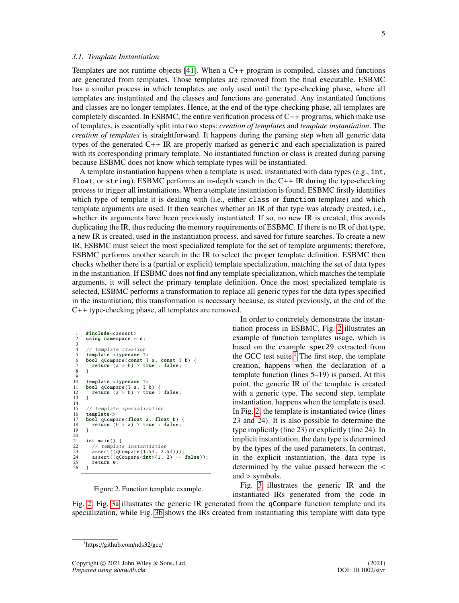## *3.1. Template Instantiation*

Templates are not runtime objects [\[41\]](#page-28-28). When a C++ program is compiled, classes and functions are generated from templates. Those templates are removed from the final executable. ESBMC has a similar process in which templates are only used until the type-checking phase, where all templates are instantiated and the classes and functions are generated. Any instantiated functions and classes are no longer templates. Hence, at the end of the type-checking phase, all templates are completely discarded. In ESBMC, the entire verification process of  $C_{++}$  programs, which make use of templates, is essentially split into two steps: *creation of templates* and *template instantiation*. The *creation of templates* is straightforward. It happens during the parsing step when all generic data types of the generated C++ IR are properly marked as generic and each specialization is paired with its corresponding primary template. No instantiated function or class is created during parsing because ESBMC does not know which template types will be instantiated.

A template instantiation happens when a template is used, instantiated with data types (e.g., int, float, or string). ESBMC performs an in-depth search in the  $C++$  IR during the type-checking process to trigger all instantiations. When a template instantiation is found, ESBMC firstly identifies which type of template it is dealing with (i.e., either class or function template) and which template arguments are used. It then searches whether an IR of that type was already created, i.e., whether its arguments have been previously instantiated. If so, no new IR is created; this avoids duplicating the IR, thus reducing the memory requirements of ESBMC. If there is no IR of that type, a new IR is created, used in the instantiation process, and saved for future searches. To create a new IR, ESBMC must select the most specialized template for the set of template arguments; therefore, ESBMC performs another search in the IR to select the proper template definition. ESBMC then checks whether there is a (partial or explicit) template specialization, matching the set of data types in the instantiation. If ESBMC does not find any template specialization, which matches the template arguments, it will select the primary template definition. Once the most specialized template is selected, ESBMC performs a transformation to replace all generic types for the data types specified in the instantiation; this transformation is necessary because, as stated previously, at the end of the C++ type-checking phase, all templates are removed.

```
1 #include <cassert><br>2 using namesnace s
       using namespace std:
 \frac{3}{4}4 // template creation<br>5 template <typename T
       template <typename T>
 6 bool qCompare(const T a, const T b) {
 7 return (a > b) ? true : false;
       \overline{3}\frac{9}{10}10 template lttypename T ><br>11 bool oCompare (T a, T b) {
11 bool qCompare(T a, T b) {
12 return (a > b) ? true : false;
13 }
\frac{14}{15}15 // template specialization<br>16 template <>
16 template < > 17 hool nComn17 bool qCompare(float a, float b) {
18 return (b > a) ? true : false;
19 }
\frac{20}{21}21 int main () {<br>22 // template
22 // template instantiation<br>23 assert ((gCompare (1.5f. 2)
23 assert ((qCompare(1.5f, 2.5f));<br>24 assert ((qCompare<sub>1</sub>(1, 2) ==24 assert ((qCompare < int > (1, 2) == false);<br>25 return 0;
25 return \overrightarrow{0};
      26 }
```
Figure 2. Function template example.

In order to concretely demonstrate the instantiation process in ESBMC, Fig. [2](#page-4-0) illustrates an example of function templates usage, which is based on the example spec29 extracted from the GCC test suite.<sup>[1](#page-4-1)</sup> The first step, the template creation, happens when the declaration of a template function (lines 5–19) is parsed. At this point, the generic IR of the template is created with a generic type. The second step, template instantiation, happens when the template is used. In Fig. [2,](#page-4-0) the template is instantiated twice (lines 23 and 24). It is also possible to determine the type implicitly (line 23) or explicitly (line 24). In implicit instantiation, the data type is determined by the types of the used parameters. In contrast, in the explicit instantiation, the data type is determined by the value passed between the < and > symbols.

Fig. [3](#page-5-0) illustrates the generic IR and the instantiated IRs generated from the code in

Fig. [2.](#page-4-0) Fig. [3a](#page-5-1) illustrates the generic IR generated from the qCompare function template and its specialization, while Fig. [3b](#page-5-2) shows the IRs created from instantiating this template with data type

<span id="page-4-1"></span><sup>1</sup>https://github.com/nds32/gcc/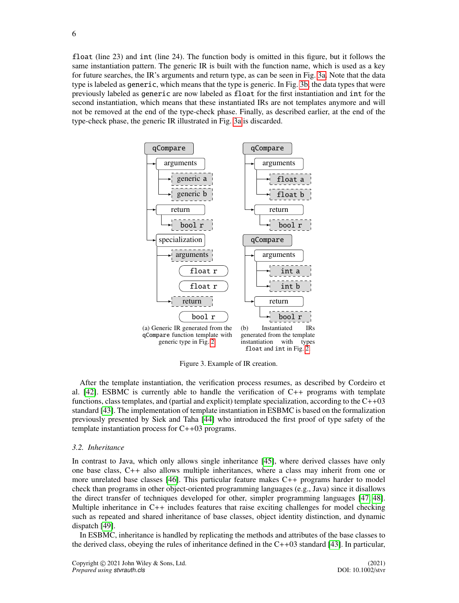float (line 23) and int (line 24). The function body is omitted in this figure, but it follows the same instantiation pattern. The generic IR is built with the function name, which is used as a key for future searches, the IR's arguments and return type, as can be seen in Fig. [3a.](#page-5-1) Note that the data type is labeled as generic, which means that the type is generic. In Fig. [3b,](#page-5-2) the data types that were previously labeled as generic are now labeled as float for the first instantiation and int for the second instantiation, which means that these instantiated IRs are not templates anymore and will not be removed at the end of the type-check phase. Finally, as described earlier, at the end of the type-check phase, the generic IR illustrated in Fig. [3a](#page-5-1) is discarded.

<span id="page-5-1"></span><span id="page-5-0"></span>

<span id="page-5-2"></span>Figure 3. Example of IR creation.

After the template instantiation, the verification process resumes, as described by Cordeiro et al. [\[42\]](#page-28-29). ESBMC is currently able to handle the verification of  $C_{++}$  programs with template functions, class templates, and (partial and explicit) template specialization, according to the  $C++03$ standard [\[43\]](#page-28-30). The implementation of template instantiation in ESBMC is based on the formalization previously presented by Siek and Taha [\[44\]](#page-28-31) who introduced the first proof of type safety of the template instantiation process for C++03 programs.

#### *3.2. Inheritance*

In contrast to Java, which only allows single inheritance [\[45\]](#page-28-32), where derived classes have only one base class, C++ also allows multiple inheritances, where a class may inherit from one or more unrelated base classes [\[46\]](#page-28-33). This particular feature makes C++ programs harder to model check than programs in other object-oriented programming languages (e.g., Java) since it disallows the direct transfer of techniques developed for other, simpler programming languages [\[47,](#page-28-34) [48\]](#page-28-35). Multiple inheritance in C++ includes features that raise exciting challenges for model checking such as repeated and shared inheritance of base classes, object identity distinction, and dynamic dispatch [\[49\]](#page-29-0).

In ESBMC, inheritance is handled by replicating the methods and attributes of the base classes to the derived class, obeying the rules of inheritance defined in the C++03 standard [\[43\]](#page-28-30). In particular,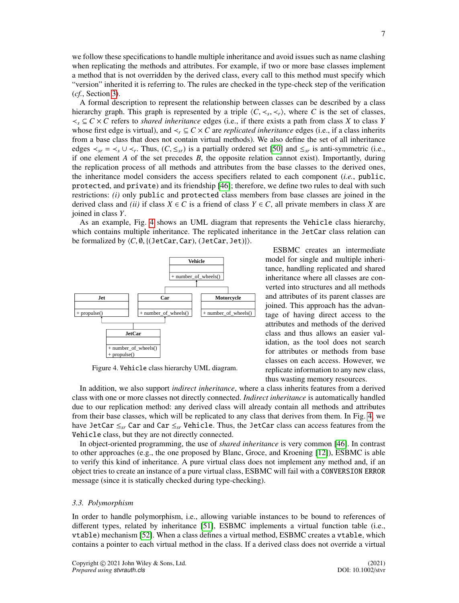A formal description to represent the relationship between classes can be described by a class hierarchy graph. This graph is represented by a triple  $\langle C, \prec_s, \prec_r \rangle$ , where *C* is the set of classes,  $\prec_s \subset C \times C$  refers to *shared inheritance* edges (i.e., if there exists a path from class *X* to class *Y* ≺*<sup>s</sup>* ⊆ *C* × *C* refers to *shared inheritance* edges (i.e., if there exists a path from class *X* to class *Y* whose first edge is virtual), and  $\lt_r \subseteq C \times C$  are *replicated inheritance* edges (i.e., if a class inherits from a base class that does not contain virtual methods). We also define the set of all inheritance edges  $\prec_{sr} = \prec_s \cup \prec_r$ . Thus,  $(C, \leq_{sr})$  is a partially ordered set [\[50\]](#page-29-1) and  $\leq_{sr}$  is anti-symmetric (i.e., if one element A of the set precedes B the opposite relation cannot exist). Importantly during if one element *A* of the set precedes *B*, the opposite relation cannot exist). Importantly, during the replication process of all methods and attributes from the base classes to the derived ones, the inheritance model considers the access specifiers related to each component (*i.e.*, public, protected, and private) and its friendship [\[46\]](#page-28-33); therefore, we define two rules to deal with such restrictions: *(i)* only public and protected class members from base classes are joined in the derived class and *(ii)* if class  $X \in C$  is a friend of class  $Y \in C$ , all private members in class X are joined in class *Y*.

As an example, Fig. [4](#page-6-0) shows an UML diagram that represents the Vehicle class hierarchy, which contains multiple inheritance. The replicated inheritance in the JetCar class relation can be formalized by  $\langle C, \emptyset, \{(\text{JetCar}, \text{Car}), (\text{JetCar}, \text{Jet})\}\rangle.$ 

<span id="page-6-0"></span>

Figure 4. Vehicle class hierarchy UML diagram.

ESBMC creates an intermediate model for single and multiple inheritance, handling replicated and shared inheritance where all classes are converted into structures and all methods and attributes of its parent classes are joined. This approach has the advantage of having direct access to the attributes and methods of the derived class and thus allows an easier validation, as the tool does not search for attributes or methods from base classes on each access. However, we replicate information to any new class, thus wasting memory resources.

In addition, we also support *indirect inheritance*, where a class inherits features from a derived class with one or more classes not directly connected. *Indirect inheritance* is automatically handled due to our replication method: any derived class will already contain all methods and attributes from their base classes, which will be replicated to any class that derives from them. In Fig. [4,](#page-6-0) we have JetCar ≤*sr* Car and Car ≤*sr* Vehicle. Thus, the JetCar class can access features from the Vehicle class, but they are not directly connected.

In object-oriented programming, the use of *shared inheritance* is very common [\[46\]](#page-28-33). In contrast to other approaches (e.g., the one proposed by Blanc, Groce, and Kroening [\[12\]](#page-28-4)), ESBMC is able to verify this kind of inheritance. A pure virtual class does not implement any method and, if an object tries to create an instance of a pure virtual class, ESBMC will fail with a CONVERSION ERROR message (since it is statically checked during type-checking).

# *3.3. Polymorphism*

In order to handle polymorphism, i.e., allowing variable instances to be bound to references of different types, related by inheritance [\[51\]](#page-29-2), ESBMC implements a virtual function table (i.e., vtable) mechanism [\[52\]](#page-29-3). When a class defines a virtual method, ESBMC creates a vtable, which contains a pointer to each virtual method in the class. If a derived class does not override a virtual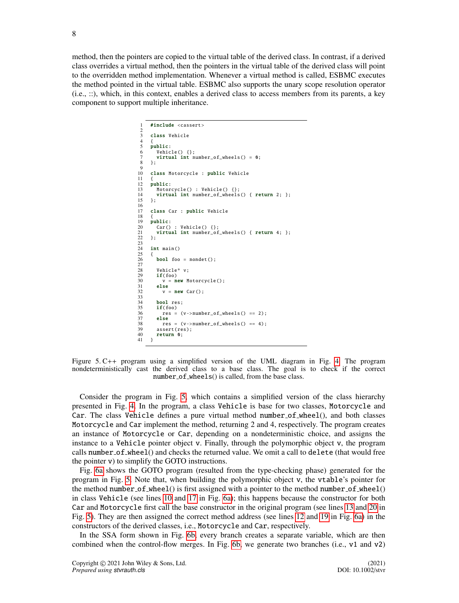<span id="page-7-0"></span>method, then the pointers are copied to the virtual table of the derived class. In contrast, if a derived class overrides a virtual method, then the pointers in the virtual table of the derived class will point to the overridden method implementation. Whenever a virtual method is called, ESBMC executes the method pointed in the virtual table. ESBMC also supports the unary scope resolution operator (i.e., ::), which, in this context, enables a derived class to access members from its parents, a key component to support multiple inheritance.

```
#include <cassert>
 \frac{2}{3}class Vehicle
  \frac{4}{5}5 public:<br>6 Vehic
          Vehicle() {};
  7 virtual int number_of_wheels() = 0;<br>8 1.
       \mathcal{R}\frac{9}{10}class Motorcycle : public Vehicle
\frac{11}{12}12 public:<br>13 Motor
13 Motorcycle() : Vehicle() {};<br>14 virtual int number_of_wheels
14 virtual int number_of_wheels() { return 2; };<br>15 }:
      15 };
\frac{16}{17}class Car : public Vehicle
18<br>19
19 public:<br>20 Car()20 Car() : Vehicle() {};<br>21 virtual int number of
21 virtual int number_of_wheels() { return 4; };<br>22 }:
       \lambda:
\frac{2}{2}int main ()
\frac{25}{24}bool foo = nondet();
\frac{26}{27}<br>28<br>29
          Vehicle* v:
29 if(foo)<br>30 v = nv = new Motorcycle();else
            v = new Car();
31<br>32<br>33<br>3434 bool res;<br>35 if(foo)
35 if(foo)<br>36 res =<br>37 else
             res = (v->number_of_wheels() == 2);37 else
38 res = (v-)number_of_wheels() == 4);<br>39 assert(res):
39 assert(res);<br>40 return 0:
      return 0;
41 \,
```
Figure 5. C++ program using a simplified version of the UML diagram in Fig. [4.](#page-6-0) The program nondeterministically cast the derived class to a base class. The goal is to check if the correct number\_of\_wheels() is called, from the base class.

Consider the program in Fig. [5,](#page-7-0) which contains a simplified version of the class hierarchy presented in Fig. [4.](#page-6-0) In the program, a class Vehicle is base for two classes, Motorcycle and Car. The class Vehicle defines a pure virtual method number of wheel(), and both classes Motorcycle and Car implement the method, returning 2 and 4, respectively. The program creates an instance of Motorcycle or Car, depending on a nondeterministic choice, and assigns the instance to a Vehicle pointer object v. Finally, through the polymorphic object v, the program calls number of wheel() and checks the returned value. We omit a call to delete (that would free the pointer v) to simplify the GOTO instructions.

Fig. [6a](#page-8-1) shows the GOTO program (resulted from the type-checking phase) generated for the program in Fig. [5.](#page-7-0) Note that, when building the polymorphic object v, the vtable's pointer for the method number of wheel() is first assigned with a pointer to the method number of wheel() in class Vehicle (see lines [10](#page-8-2) and [17](#page-8-3) in Fig. [6a\)](#page-8-1); this happens because the constructor for both Car and Motorcycle first call the base constructor in the original program (see lines [13](#page-7-1) and [20](#page-7-2) in Fig. [5\)](#page-7-0). They are then assigned the correct method address (see lines [12](#page-8-4) and [19](#page-8-5) in Fig. [6a\)](#page-8-1) in the constructors of the derived classes, i.e., Motorcycle and Car, respectively.

In the SSA form shown in Fig. [6b,](#page-8-6) every branch creates a separate variable, which are then combined when the control-flow merges. In Fig. [6b,](#page-8-6) we generate two branches (i.e., v1 and v2)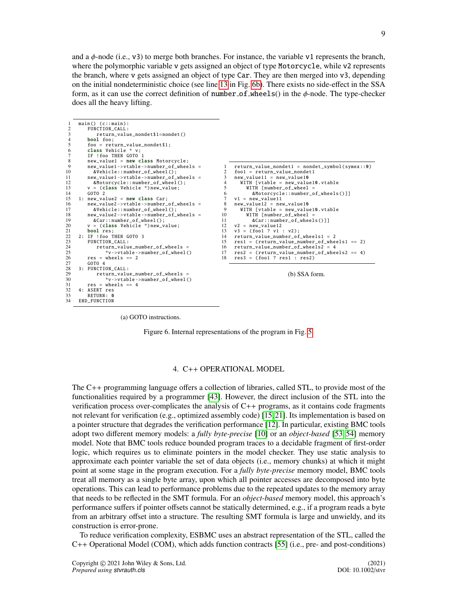and a  $\phi$ -node (i.e., v3) to merge both branches. For instance, the variable v1 represents the branch, where the polymorphic variable v gets assigned an object of type Motorcycle, while v2 represents the branch, where v gets assigned an object of type Car. They are then merged into v3, depending on the initial nondeterministic choice (see line [13](#page-8-7) in Fig. [6b\)](#page-8-6). There exists no side-effect in the SSA form, as it can use the correct definition of number  $of$ -wheels() in the  $\phi$ -node. The type-checker does all the heavy lifting.

```
1 main () (c:: main):
2 FUNCTION_CALL :
 3<br>
return_value\_nondet$1=nondet()<br>
4 hool foo:
 \begin{array}{cc} 4 & \text{bool} & \text{foo} \\ 5 & \text{foo} = \text{ret} \end{array}5 foo = return_value_nondet$1;<br>6 class Vehicle * v;
 6 class Vehicle * v;<br>7 F 1 foo THEN GOTO
 7 IF ! foo THEN GOTO 1<br>8 new value1 = new cl
  8 new_value1 = new class Motorcycle ;
9 new_value1 ->vtable -> number_of_wheels =
10 &Vehicle::number_of_wheel();<br>11 new value1->vtable->number of
11 new_value1 ->vtable ->number_of_wheels =<br>12 &Motorcycle::number_of_wheel():
12 & Motorcycle::number_of_wheel ();<br>13 y = (class Vehicle *) new value:
13 v = (class Vehicle *) new_value;<br>14 GOTO 2
14 GOTO 2<br>15 1: new_val
15 1: new_value2 = new class Car;<br>16 new_value2 - vtablez - numher16 new_value2 ->vtable ->number_of_wheels =<br>17 &Vehicle::number of wheel():
17 &Vehicle::number_of_wheel();<br>18 new value2->vtable->number of
18 new_value2 ->vtable ->number_of_wheels =<br>19 &Car::number_of_wheel();
                &Car::number_of_wheel();
20 v = (class Vehicle *) new_value;<br>21 bool res;
21 bool res;<br>22 \t27 TF 1 foo T
22 2: IF ! foo THEN GOTO 3<br>23 FUNCTION CALL:
23 FUNCTION_CALL:<br>24 return_value
24 return_value_number_of_wheels =<br>25 *v->vtable->number_of_wheel(
25 *v->vtable -> number_of_wheel ()
26 res = wheels == 2
27 GOTO 4<br>28 3: FUNCTI
28 3: FUNCTION_CALL:<br>29 return_valu
29 return_value_number_of_wheels =<br>30 *v->vtable->number_of_wheel(
30 *v->vtable->number_of_wheel()<br>31 res = wheels == 4
\begin{array}{rcl} 31 & \text{res} = \text{wheels} = 4 \\ 32 & 4: \text{ ASERT res} \end{array}32    4: ASERT res<br>33    RETURN: 0
33 RETURN: 0
       END_FUNCTION
                                                                                              1 return_value_nondet1 = nondet_symbol(symex::0)<br>2 foo1 = return value nondet1
                                                                                              2 f \circ 01 = \text{return_value_model}<br>3 new value11 = new value10
                                                                                              3 new_value11 = new_value10<br>4 WTTH [vtable = new value
                                                                                              4 WITH [vtable = new_value10.vtable<br>5 WITH [number of wheel =
                                                                                              5 WITH [number_of_wheel =<br>6 &Motorcycle::number o
                                                                                                              6 & Motorcycle :: number_of_wheels ()]]
                                                                                              7 \text{ v1} = \text{new_value11}<br>8 new value12 = ne
                                                                                                   8 new_value12 = new_value10
                                                                                             9 WITH [vtable = new_value10.vtable<br>10 WITH [number of wheel =
                                                                                             10 \text{WITH} [number_of_wheel = 11 \& Carrinumber of when
                                                                                                              &Car::number_of_wheels()]]12 \text{ v2} = \text{new_value12}<br>13 \text{ v3} = (\text{foo1 ? v1})13 \text{ v3} = (6001 ? \text{ v1} : \text{v2});<br>14 \text{ return value number of}14 return_value_number_of_wheels1 = 2<br>15 res1 = (return value number of whe
                                                                                             15 res1 = (return_value_number_of_wheels1 == 2)<br>16 return value number of wheels2 = 4
                                                                                                  16 return_value_number_of_wheels2 = 4
                                                                                             17 res2 = ( return_value_number_of_wheels2 == 4)
18 res3 = (foo1 ? res1 : res2)
                                                                                                                                     (b) SSA form.
```
<span id="page-8-1"></span>(a) GOTO instructions.

<span id="page-8-7"></span><span id="page-8-6"></span>Figure 6. Internal representations of the program in Fig. [5.](#page-7-0)

#### 4. C++ OPERATIONAL MODEL

<span id="page-8-0"></span>The C++ programming language offers a collection of libraries, called STL, to provide most of the functionalities required by a programmer [\[43\]](#page-28-30). However, the direct inclusion of the STL into the verification process over-complicates the analysis of C++ programs, as it contains code fragments not relevant for verification (e.g., optimized assembly code) [\[15,](#page-28-0)[21\]](#page-28-7). Its implementation is based on a pointer structure that degrades the verification performance [\[12\]](#page-28-4). In particular, existing BMC tools adopt two different memory models: a *fully byte-precise* [\[10\]](#page-27-8) or an *object-based* [\[53,](#page-29-4) [54\]](#page-29-5) memory model. Note that BMC tools reduce bounded program traces to a decidable fragment of first-order logic, which requires us to eliminate pointers in the model checker. They use static analysis to approximate each pointer variable the set of data objects (i.e., memory chunks) at which it might point at some stage in the program execution. For a *fully byte-precise* memory model, BMC tools treat all memory as a single byte array, upon which all pointer accesses are decomposed into byte operations. This can lead to performance problems due to the repeated updates to the memory array that needs to be reflected in the SMT formula. For an *object-based* memory model, this approach's performance suffers if pointer offsets cannot be statically determined, e.g., if a program reads a byte from an arbitrary offset into a structure. The resulting SMT formula is large and unwieldy, and its construction is error-prone.

To reduce verification complexity, ESBMC uses an abstract representation of the STL, called the C++ Operational Model (COM), which adds function contracts [\[55\]](#page-29-6) (i.e., pre- and post-conditions)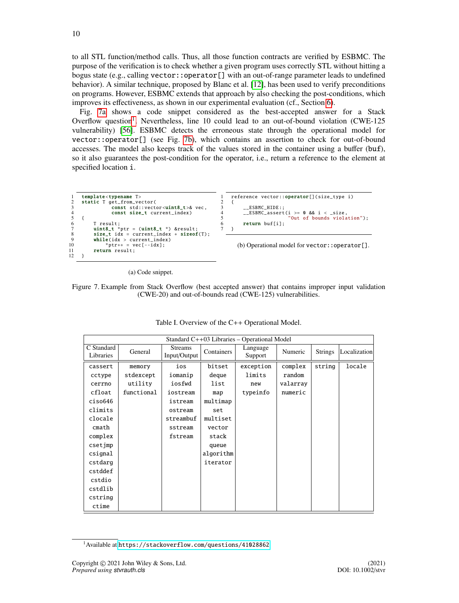to all STL function/method calls. Thus, all those function contracts are verified by ESBMC. The purpose of the verification is to check whether a given program uses correctly STL without hitting a bogus state (e.g., calling vector::operator[] with an out-of-range parameter leads to undefined behavior). A similar technique, proposed by Blanc et al. [\[12\]](#page-28-4), has been used to verify preconditions on programs. However, ESBMC extends that approach by also checking the post-conditions, which improves its effectiveness, as shown in our experimental evaluation (cf., Section [6\)](#page-19-0).

Fig. [7a](#page-9-0) shows a code snippet considered as the best-accepted answer for a Stack Overflow question<sup>[1](#page-9-1)</sup>. Nevertheless, line 10 could lead to an out-of-bound violation (CWE-125 vulnerability) [\[56\]](#page-29-7). ESBMC detects the erroneous state through the operational model for vector::operator[] (see Fig. [7b\)](#page-9-2), which contains an assertion to check for out-of-bound accesses. The model also keeps track of the values stored in the container using a buffer (buf), so it also guarantees the post-condition for the operator, i.e., return a reference to the element at specified location i.

```
1 template<typename T><br>2 static T get from ve
2 static T get_from_vector(<br>3 const std::vect
3 const std:: vector<uint8_t >& vec,<br>4 const size t current index)
                     const size_t current_index)
\begin{array}{cc} 5 & \{ \\ 6 \\ 7 \end{array}6 T result;
7 uint8_t *ptr = (uint8_t *) &result;<br>8 size_t idx = current_index + sizeof<br>9 while(idx > current_index)
            size_t idx = current_index + sizeof(T);
9 while(idx > current_index )
10 *ptr ++ = vec[--idx ];
11 return result;<br>12 }
12 }
                                                                             1 reference vector::operator[](size_type i)<br>2 {
                                                                             \frac{2}{3} {
                                                                             3 \qquad \qquad -ESBMC_HIDE:<br>4 \qquad \qquad FSRMC as sent4 __ESBMC_assert (i >= 0 && i < _size ,
                                                                             5 "Out of bounds violation");<br>6 meturn buffil:
                                                                                        return buf[i];
                                                                                  7 }
                                                                                     (b) Operational model for vector::operator[].
```
<span id="page-9-2"></span>(a) Code snippet.

<span id="page-9-0"></span>Figure 7. Example from Stack Overflow (best accepted answer) that contains improper input validation (CWE-20) and out-of-bounds read (CWE-125) vulnerabilities.

<span id="page-9-3"></span>

| Standard $C++03$ Libraries – Operational Model |            |                                |                   |                     |          |                |              |
|------------------------------------------------|------------|--------------------------------|-------------------|---------------------|----------|----------------|--------------|
| C Standard<br>Libraries                        | General    | <b>Streams</b><br>Input/Output | <b>Containers</b> | Language<br>Support | Numeric  | <b>Strings</b> | Localization |
| cassert                                        | memory     | ios                            | bitset            | exception           | complex  | string         | locale       |
| cctype                                         | stdexcept  | iomanip                        | deque             | limits              | random   |                |              |
| cerrno                                         | utility    | iosfwd                         | list              | new                 | valarray |                |              |
| cfloat                                         | functional | iostream                       | map               | typeinfo            | numeric  |                |              |
| ciso646                                        |            | istream                        | multimap          |                     |          |                |              |
| climits                                        |            | ostream                        | set               |                     |          |                |              |
| clocale                                        |            | streambuf                      | multiset          |                     |          |                |              |
| cmath                                          |            | sstream                        | vector            |                     |          |                |              |
| complex                                        |            | fstream                        | stack             |                     |          |                |              |
| csetjmp                                        |            |                                | queue             |                     |          |                |              |
| csignal                                        |            |                                | algorithm         |                     |          |                |              |
| cstdarg                                        |            |                                | iterator          |                     |          |                |              |
| cstddef                                        |            |                                |                   |                     |          |                |              |
| cstdio                                         |            |                                |                   |                     |          |                |              |
| cstdlib                                        |            |                                |                   |                     |          |                |              |
| cstring                                        |            |                                |                   |                     |          |                |              |
| ctime                                          |            |                                |                   |                     |          |                |              |

|  |  |  |  |  | Table I. Overview of the C++ Operational Model. |  |
|--|--|--|--|--|-------------------------------------------------|--|
|--|--|--|--|--|-------------------------------------------------|--|

<span id="page-9-1"></span> $1$ Available at <https://stackoverflow.com/questions/41028862>.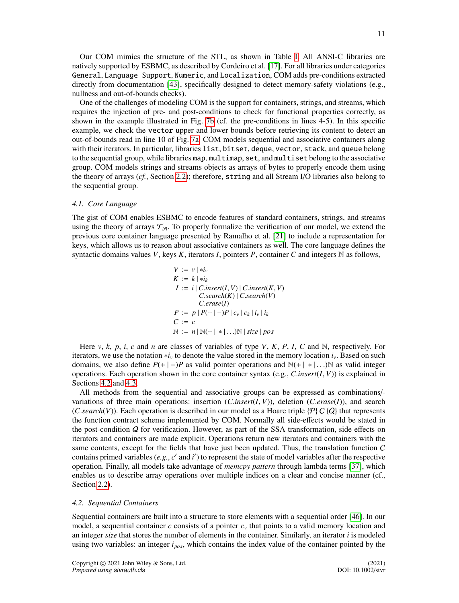Our COM mimics the structure of the STL, as shown in Table [I.](#page-9-3) All ANSI-C libraries are natively supported by ESBMC, as described by Cordeiro et al. [\[17\]](#page-28-2). For all libraries under categories General, Language Support, Numeric, and Localization, COM adds pre-conditions extracted directly from documentation [\[43\]](#page-28-30), specifically designed to detect memory-safety violations (e.g., nullness and out-of-bounds checks).

One of the challenges of modeling COM is the support for containers, strings, and streams, which requires the injection of pre- and post-conditions to check for functional properties correctly, as shown in the example illustrated in Fig. [7b](#page-9-2) (cf. the pre-conditions in lines 4-5). In this specific example, we check the vector upper and lower bounds before retrieving its content to detect an out-of-bounds read in line 10 of Fig. [7a.](#page-9-0) COM models sequential and associative containers along with their iterators. In particular, libraries list, bitset, deque, vector, stack, and queue belong to the sequential group, while libraries map, multimap, set, and multiset belong to the associative group. COM models strings and streams objects as arrays of bytes to properly encode them using the theory of arrays (*cf.*, Section [2.2\)](#page-2-1); therefore, string and all Stream I/O libraries also belong to the sequential group.

#### *4.1. Core Language*

The gist of COM enables ESBMC to encode features of standard containers, strings, and streams using the theory of arrays  $\mathcal{T}_{\mathcal{A}}$ . To properly formalize the verification of our model, we extend the previous core container language presented by Ramalho et al. [\[21\]](#page-28-7) to include a representation for keys, which allows us to reason about associative containers as well. The core language defines the syntactic domains values *V*, keys *K*, iterators *I*, pointers *P*, container *C* and integers N as follows,

$$
V := v \mid *i_{v}
$$
  
\n
$$
K := k \mid *i_{k}
$$
  
\n
$$
I := i | C.insert(I, V) | C.insert(K, V)
$$
  
\n
$$
C search(K) | C search(V)
$$
  
\n
$$
C. erase(I)
$$
  
\n
$$
P := p | P(+|-)P | c_{v} | c_{k} | i_{v} | i_{k}
$$
  
\n
$$
C := c
$$
  
\n
$$
\mathbb{N} := n | \mathbb{N}(+| * | ...)\mathbb{N} | size | pos
$$

Here  $v, k, p, i, c$  and *n* are classes of variables of type *V*, *K*, *P*, *I*, *C* and N, respectively. For iterators, we use the notation ∗*i<sup>v</sup>* to denote the value stored in the memory location *iv*. Based on such domains, we also define  $P(+ \mid -)P$  as valid pointer operations and  $\mathbb{N}(+ \mid * | \dots) \mathbb{N}$  as valid integer operations. Each operation shown in the core container syntax (e.g., *<sup>C</sup>*.*insert*(*I*, *<sup>V</sup>*)) is explained in Sections [4.2](#page-10-0) and [4.3.](#page-12-0)

All methods from the sequential and associative groups can be expressed as combinations/ variations of three main operations: insertion (*C*.*insert*(*I*, *<sup>V</sup>*)), deletion (*C*.*erase*(*I*)), and search (*C*.search(*V*)). Each operation is described in our model as a Hoare triple { $P$ } C { $Q$ } that represents the function contract scheme implemented by COM. Normally all side-effects would be stated in the post-condition  $Q$  for verification. However, as part of the SSA transformation, side effects on iterators and containers are made explicit. Operations return new iterators and containers with the same contents, except for the fields that have just been updated. Thus, the translation function C contains primed variables  $(e.g., c'$  and  $i'$ ) to represent the state of model variables after the respective operation. Finally, all models take advantage of *memcpy pattern* through lambda terms [\[37\]](#page-28-23), which enables us to describe array operations over multiple indices on a clear and concise manner (cf., Section [2.2\)](#page-2-1).

#### <span id="page-10-0"></span>*4.2. Sequential Containers*

Sequential containers are built into a structure to store elements with a sequential order [\[46\]](#page-28-33). In our model, a sequential container *c* consists of a pointer  $c<sub>v</sub>$  that points to a valid memory location and an integer *size* that stores the number of elements in the container. Similarly, an iterator *i* is modeled using two variables: an integer *ipos*, which contains the index value of the container pointed by the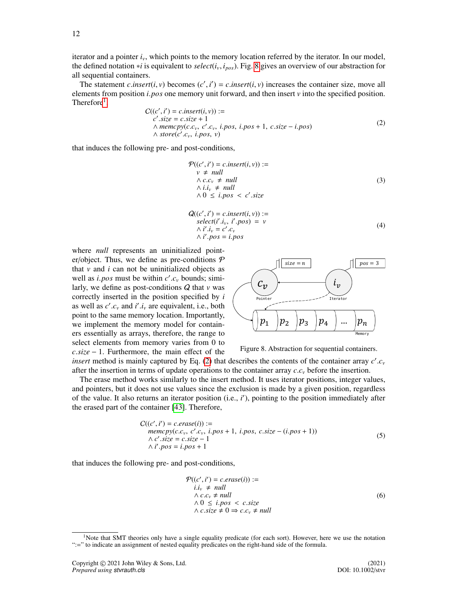iterator and a pointer *iv*, which points to the memory location referred by the iterator. In our model, the defined notation <sup>∗</sup>*<sup>i</sup>* is equivalent to *select*(*i<sup>v</sup>*, *<sup>i</sup>pos*). Fig. [8](#page-11-0) gives an overview of our abstraction for all sequential containers.

The statement *c*.*insert*(*i*, *v*) becomes (*c'*, *i'*) = *c.insert*(*i*, *v*) increases the container size, move all emergents from position *i* nos one memory unit forward and then insert *v* into the specified positi elements from position *<sup>i</sup>*.*pos* one memory unit forward, and then insert *<sup>v</sup>* into the specified position. Therefore<sup>[1](#page-11-1)</sup>,

<span id="page-11-2"></span>
$$
C((c', i') = c.insert(i, v)) :=\nc'.size = c.size + 1\land memcpy(c.cv, c'.cv, i.pos, i.pos + 1, c.size - i.pos)\land store(c'.cv, i.pos, v)
$$
\n(2)

that induces the following pre- and post-conditions,

$$
\mathcal{P}((c', i') = c.insert(i, v)) :=
$$
\n
$$
v \neq null
$$
\n
$$
\land c.c_v \neq null
$$
\n
$$
\land i.i_v \neq null
$$
\n
$$
\land 0 \leq i.pos < c'.size
$$
\n(3)

$$
Q((c', i') = c.insert(i, v)) :=\nselect(i' . iv, i' . pos) = v\n\wedge i' . iv = c' . cv\n\wedge i' . pos = i. pos
$$
\n(4)

where *null* represents an uninitialized pointer/object. Thus, we define as pre-conditions  $P$ that  $v$  and  $i$  can not be uninitialized objects as well as *i.pos* must be within  $c'.c_v$  bounds; simi-<br>larly we define as post-conditions  $\Omega$  that  $v$  was larly, we define as post-conditions Q that *v* was correctly inserted in the position specified by *i* as well as  $c'$ ,  $c_v$  and  $i'$ ,  $i_v$  are equivalent, i.e., both point to the same memory location. Importantly point to the same memory location. Importantly, we implement the memory model for containers essentially as arrays, therefore, the range to select elements from memory varies from 0 to *<sup>c</sup>*.*size* <sup>−</sup> 1. Furthermore, the main effect of the

<span id="page-11-0"></span>

Figure 8. Abstraction for sequential containers.

*insert* method is mainly captured by Eq. [\(2\)](#page-11-2) that describes the contents of the container array  $c^2$ .  $c^2$  after the insertion in terms of undate operations to the container array  $c^2$  before the insertion after the insertion in terms of update operations to the container array *<sup>c</sup>*.*c<sup>v</sup>* before the insertion.

The erase method works similarly to the insert method. It uses iterator positions, integer values, and pointers, but it does not use values since the exclusion is made by a given position, regardless of the value. It also returns an iterator position (i.e., *i'*), pointing to the position immediately after the erased part of the container [\[43\]](#page-28-30). Therefore,

$$
C((c', i') = c.\text{erase}(i)) :=
$$
  
\n
$$
memory(c.c_v, c'.c_v, i.pos + 1, i.pos, c.size - (i.pos + 1))
$$
  
\n
$$
\land c'.size = c.size - 1
$$
  
\n
$$
\land i'.pos = i.pos + 1
$$
\n(5)

that induces the following pre- and post-conditions,

$$
\mathcal{P}((c', i') = c.\text{erase}(i)) :=\n i.i_v \neq null\n \land c.c_v \neq null\n \land 0 \leq i.\text{pos} < c.\text{size}\n \land c.\text{size} \neq 0 \Rightarrow c.c_v \neq null
$$
\n(6)

<span id="page-11-1"></span><sup>&</sup>lt;sup>1</sup>Note that SMT theories only have a single equality predicate (for each sort). However, here we use the notation ":=" to indicate an assignment of nested equality predicates on the right-hand side of the formula.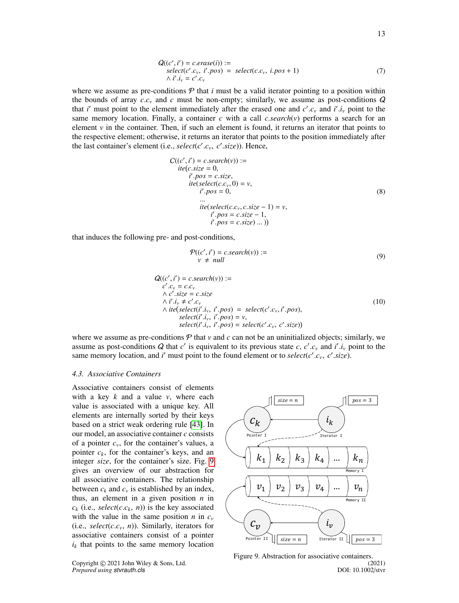$$
Q((c', i') = c.\text{erase}(i)) :=\text{select}(c'.c_v, i'.pos) = \text{select}(c.c_v, i.pos + 1)\land i'.i_v = c'.c_v
$$
\n(7)

where we assume as pre-conditions  $P$  that  $i$  must be a valid iterator pointing to a position within the bounds of array  $c.c_v$  and  $c$  must be non-empty; similarly, we assume as post-conditions  $Q$ that *i*' must point to the element immediately after the erased one and  $c'$ ,  $c_v$  and  $i'$ ,  $i_v$  point to the same memory location. Finally a container c with a call c *search(v)* performs a search for an same memory location. Finally, a container *c* with a call *c.search*(*v*) performs a search for an element *v* in the container. Then, if such an element is found, it returns an iterator that points to the respective element; otherwise, it returns an iterator that points to the position immediately after the last container's element (i.e., *select*( $c'$ . $c_v$ ,  $c'$ . $size$ )). Hence,

$$
C((c', i') = c \cdot search(v)) :=
$$
  
\n
$$
ite(c \cdot size = 0,
$$
  
\n
$$
i'.pos = c \cdot size,
$$
  
\n
$$
ite(selectric(c, c_v, 0) = v,
$$
  
\n
$$
i'.pos = 0,
$$
  
\n
$$
ii' (select(c, c_v, c \cdot size - 1) = v,
$$
  
\n
$$
i'.pos = c \cdot size - 1,
$$
  
\n
$$
i'.pos = c \cdot size)
$$
...))

that induces the following pre- and post-conditions,

$$
\mathcal{P}((c', i') = c \cdot search(v)) :=\n \qquad \qquad v \neq null
$$
\n(9)

$$
Q((c', i') = c \cdot search(v)) :=\nc'.c_v = c.c_v\land c'.size = c.size\land i'.i_v \neq c'.c_v\land ite(self'.i_v, i'.pos) = select(c'.c_v, i'.pos),\nselect(i'.i_v, i'.pos) = v,\nselect(i'.i_v, i'.pos) = select(c'.c_v, c'.size))
$$
\n(10)

where we assume as pre-conditions  $P$  that  $v$  and  $c$  can not be an uninitialized objects; similarly, we assume as post-conditions *Q* that *c'* is equivalent to its previous state *c*, *c' c<sub>v</sub>* and *i'*, *i<sub>v</sub>* point to the same memory location, and *i'* must point to the found element or to select(*c' c*, *c'* size) same memory location, and *i*' must point to the found element or to *select*( $c'$ , $c$ <sub>*v*</sub>,  $c'$ , $size$ ).

#### <span id="page-12-0"></span>*4.3. Associative Containers*

*Prepared using stvrauth.cls* 

Associative containers consist of elements with a key *k* and a value *v*, where each value is associated with a unique key. All elements are internally sorted by their keys based on a strict weak ordering rule [\[43\]](#page-28-30). In our model, an associative container *c* consists of a pointer  $c_v$ , for the container's values, a pointer  $c_k$ , for the container's keys, and an integer *size*, for the container's size. Fig. [9](#page-12-1) gives an overview of our abstraction for all associative containers. The relationship between  $c_k$  and  $c_\nu$  is established by an index, thus, an element in a given position *n* in  $c_k$  (i.e., *select*(*c*.*c<sub>k</sub>*, *n*)) is the key associated with the value in the same position *n* in  $c_v$ (i.e.,  $select(c.c_v, n)$ ). Similarly, iterators for associative containers consist of a pointer  $i_k$  that points to the same memory location

<span id="page-12-1"></span>

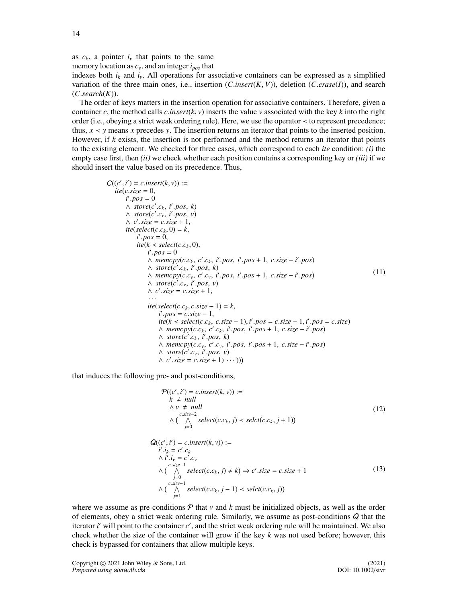as  $c_k$ , a pointer  $i_v$  that points to the same

memory location as *cv*, and an integer *ipos* that indexes both  $i_k$  and  $i_v$ . All operations for associative containers can be expressed as a simplified variation of the three main ones, i.e., insertion (*C*.*insert*(*K*, *<sup>V</sup>*)), deletion (*C*.*erase*(*I*)), and search (*C*.*search*(*K*)).

The order of keys matters in the insertion operation for associative containers. Therefore, given a container *c*, the method calls *c*.*insert*( $k$ ,  $\nu$ ) inserts the value  $\nu$  associated with the key  $k$  into the right order (i.e., obeying a strict weak ordering rule). Here, we use the operator ≺ to represent precedence; thus,  $x \le y$  means *x* precedes *y*. The insertion returns an iterator that points to the inserted position. However, if *k* exists, the insertion is not performed and the method returns an iterator that points to the existing element. We checked for three cases, which correspond to each *ite* condition: *(i)* the empty case first, then *(ii)* we check whether each position contains a corresponding key or *(iii)* if we should insert the value based on its precedence. Thus,

$$
C((c', i') = c.insert(k, v)) :=\nite(c.size = 0,\ni' .pos = 0\n\land store(c'.c_k, i'.pos, k)\n\land store(c'.c_k, i'.pos, v)\n\land c'.size = c.size + 1,\nite(selectric(ck, 0) = k,\n\vdots .pos = 0,\nite(k < select(c.c_k, 0),\ni'.pos = 0\n\land memcopy(c.c_k, c'.c_k, i'.pos, i'.pos + 1, c.size - i'.pos)\n\land store(c'.c_k, i'.pos, k)\n\land memcopy(c.c_k, c'.c_v, i'.pos, i'.pos + 1, c.size - i'.pos)\n\land store(c'.c_v, i'.pos, v)\n\land c'.size = c.size + 1,\n\vdots .pos = c.size - 1,\n\vdots (select(c.c_k, c.size - 1) = k,\ni' .pos = c.size - 1,\nite(k < select(c.c_k, c.size - 1), i'.pos = c.size - 1, i'.pos = c.size)\n\land memcopy(c.c_k, c'.c_k, i'.pos, i'.pos + 1, c.size - i'.pos)\n\land store(c'.c_k, i'.pos, k)\n\land memcopy(c.c_k, c'.c_v, i'.pos, i'.pos + 1, c.size - i'.pos)\n\land store(c'.c_v, i'.pos, v)\n\land core(c'.c_v, i'.pos, v)\n\land core(c'.c_v, i'.pos, v)\n\land c'.size = c.size + 1) ...)))
$$

that induces the following pre- and post-conditions,

$$
\mathcal{P}((c', i') = c.insert(k, v)) :=\nk \neq null\n\wedge v \neq null\n\wedge (\bigwedge_{j=0}^{c.size - 2} select(c.c_k, j) \prec select(c.c_k, j + 1))
$$
\n(12)

$$
Q((c', i') = c.insert(k, v)) :=\n i'.ik = c'.ck\n \wedge i'.iv = c'.cv\n \wedge \left(\bigwedge_{\substack{j=1 \text{else} \\ j=1}}^{c.size - 1} select(c.c_k, j) \neq k\right) \Rightarrow c'.size = c.size + 1\n \wedge \left(\bigwedge_{\substack{j=1 \text{else} \\ j=1}}^{c.size - 1} select(c.c_k, j - 1) \prec select(c.c_k, j)\right)
$$
\n(13)

where we assume as pre-conditions  $P$  that  $v$  and  $k$  must be initialized objects, as well as the order of elements, obey a strict weak ordering rule. Similarly, we assume as post-conditions  $Q$  that the iterator *i'* will point to the container *c'*, and the strict weak ordering rule will be maintained. We also check whether the size of the container will grow if the key *k* was not used before; however, this check is bypassed for containers that allow multiple keys.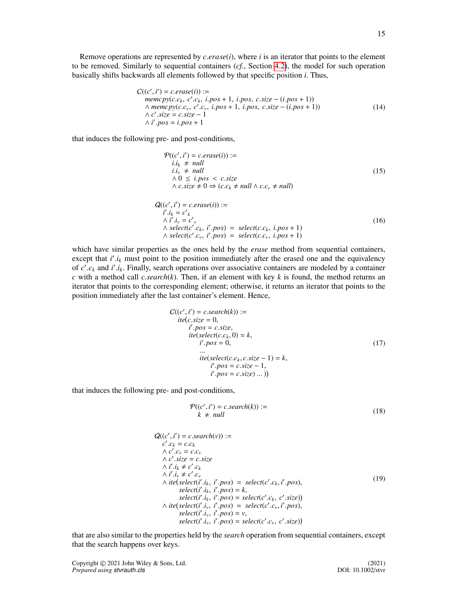Remove operations are represented by *<sup>c</sup>*.*erase*(*i*), where *<sup>i</sup>* is an iterator that points to the element to be removed. Similarly to sequential containers (*cf.*, Section [4.2\)](#page-10-0), the model for such operation basically shifts backwards all elements followed by that specific position *i*. Thus,

$$
C((c', i') = c.\text{erase}(i)) :=
$$
  
\n
$$
memory(c.c_k, c'.c_k, i.pos + 1, i.pos, c.size - (i.pos + 1))
$$
  
\n
$$
\land \text{memory}(c.c_v, c'.c_v, i.pos + 1, i.pos, c.size - (i.pos + 1))
$$
  
\n
$$
\land c'.size = c.size - 1
$$
  
\n
$$
\land i'.pos = i.pos + 1
$$
\n(14)

that induces the following pre- and post-conditions,

$$
\mathcal{P}((c', i') = c.\text{erase}(i)) :=\n i.i_k \neq null\n i.i_v \neq null\n \land 0 \leq i.pos < c.\text{size}\n \land c.\text{size} \neq 0 \Rightarrow (c.c_k \neq null \land c.c_v \neq null)
$$
\n(15)

$$
Q((c', i') = c.\text{erase}(i)) :=\n i'.ik = c'k\n \land i'.iv = c'v\n \land select(c'.ck, i'.pos) = select(c.ck, i.pos + 1)\n \land select(c'.cv, i'.pos) = select(c.cv, i.pos + 1)
$$
\n(16)

which have similar properties as the ones held by the *erase* method from sequential containers, except that *i'*.*i<sub>k</sub>* must point to the position immediately after the erased one and the equivalency of  $c'$ , and *i'*, *i<sub>k</sub>* Finally search operations over associative containers are modeled by a container of  $c'$ ,  $c_k$  and  $i'$ ,  $i_k$ . Finally, search operations over associative containers are modeled by a container  $c$  with a method call  $c$  *search* $(k)$ . Then if an element with key  $k$  is found, the method returns an *c* with a method call *c.search*( $k$ ). Then, if an element with key  $k$  is found, the method returns an iterator that points to the corresponding element; otherwise, it returns an iterator that points to the position immediately after the last container's element. Hence,

$$
C((c', i') = c \cdot search(k)) :=
$$
  
\n
$$
ite(c \cdot size = 0,
$$
  
\n
$$
i' \cdot pos = c \cdot size,
$$
  
\n
$$
ite(selectric(c \cdot c_k, 0) = k,
$$
  
\n
$$
i' \cdot pos = 0,
$$
  
\n
$$
i' \cdot pos = c \cdot size - 1,
$$
  
\n
$$
i' \cdot pos = c \cdot size - 1,
$$
  
\n
$$
i' \cdot pos = c \cdot size - 1,
$$
  
\n(17)

that induces the following pre- and post-conditions,

$$
\mathcal{P}((c', i') = c \cdot search(k)) :=k \neq null
$$
\n(18)

$$
Q((c', i') = c.search(v)) :=\nc'.c_k = c.c_k\n\land c'.c_v = c.c_v\n\land c'.size = c.size\n\land i'.i_k \neq c'.c_k\n\land i'.i_v \neq c'.c_v\n\land ite(self'.i_k, i'.pos) = select(c'.c_k, i'.pos),\nselect(i'.i_k, i'.pos) = k,\nselect(i'.i_k, i'.pos) = select(c'.c_k, c'.size))\n\land ite(self'.i_v, i'.pos) = select(c'.c_v, i'.pos),\nselect(i'.i_v, i'.pos) = v,\nselect(i'.i_v, i'.pos) = select(c'.c_v, c'.size))
$$

that are also similar to the properties held by the *search* operation from sequential containers, except that the search happens over keys.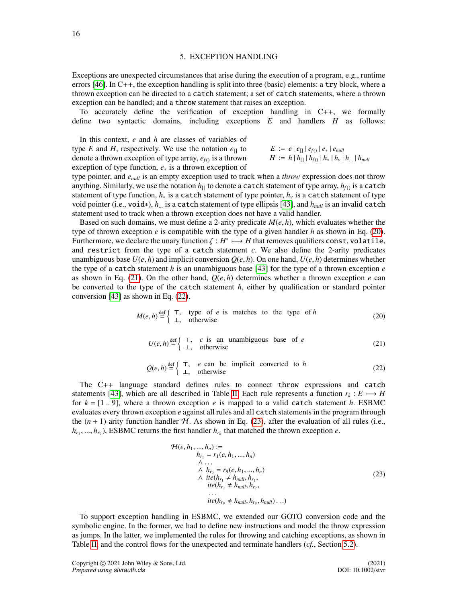## 5. EXCEPTION HANDLING

<span id="page-15-0"></span>Exceptions are unexpected circumstances that arise during the execution of a program, e.g., runtime errors [\[46\]](#page-28-33). In C++, the exception handling is split into three (basic) elements: a try block, where a thrown exception can be directed to a catch statement; a set of catch statements, where a thrown exception can be handled; and a throw statement that raises an exception.

To accurately define the verification of exception handling in C++, we formally define two syntactic domains, including exceptions *E* and handlers *H* as follows:

In this context, *e* and *h* are classes of variables of type *E* and *H*, respectively. We use the notation  $e_{\text{II}}$  to denote a thrown exception of type array, *e<sup>f</sup>*() is a thrown exception of type function, *e*<sup>∗</sup> is a thrown exception of

$$
E := e | e_{[]} | e_{f()} | e_{*} | e_{null}
$$
  

$$
H := h | h_{[]} | h_{f()} | h_{*} | h_{v} | h_{...} | h_{null}
$$

type pointer, and *enull* is an empty exception used to track when a *throw* expression does not throw anything. Similarly, we use the notation  $h_{\Pi}$  to denote a catch statement of type array,  $h_{f}$  is a catch statement of type function, *h*<sup>∗</sup> is a catch statement of type pointer, *h<sup>v</sup>* is a catch statement of type void pointer (i.e., void∗), *<sup>h</sup>*... is a catch statement of type ellipsis [\[43\]](#page-28-30), and *hnull* is an invalid catch statement used to track when a thrown exception does not have a valid handler.

Based on such domains, we must define a 2-arity predicate  $M(e, h)$ , which evaluates whether the type of thrown exception *e* is compatible with the type of a given handler *h* as shown in Eq. [\(20\)](#page-15-1). Furthermore, we declare the unary function  $\zeta : H^* \longrightarrow H$  that removes qualifiers const, volatile, and restrict from the type of a catch statement c. We also define the 2-arity predicates and restrict from the type of a catch statement *c*. We also define the 2-arity predicates unambiguous base  $U(e, h)$  and implicit conversion  $O(e, h)$ . On one hand,  $U(e, h)$  determines whether the type of a catch statement *h* is an unambiguous base [\[43\]](#page-28-30) for the type of a thrown exception *e* as shown in Eq. [\(21\)](#page-15-2). On the other hand,  $Q(e, h)$  determines whether a thrown exception  $e$  can be converted to the type of the catch statement *h*, either by qualification or standard pointer conversion [\[43\]](#page-28-30) as shown in Eq. [\(22\)](#page-15-3).

<span id="page-15-1"></span>
$$
M(e, h) \stackrel{\text{def}}{=} \left\{ \begin{array}{ll} \top, & \text{type of } e \text{ is matches to the type of } h \\ \bot, & \text{otherwise} \end{array} \right. \tag{20}
$$

$$
U(e, h) \stackrel{\text{def}}{=} \left\{ \begin{array}{ll} \top, & c \text{ is an unambiguous base of } e \\ \bot, & \text{otherwise} \end{array} \right.
$$
 (21)

$$
Q(e, h) \stackrel{\text{def}}{=} \left\{ \begin{array}{ll} \top, & e \text{ can be implicit converted to } h \\ \bot, & \text{otherwise} \end{array} \right. \tag{22}
$$

<span id="page-15-3"></span><span id="page-15-2"></span>The C++ language standard defines rules to connect throw expressions and catch statements [\[43\]](#page-28-30), which are all described in Table [II.](#page-16-0) Each rule represents a function  $r_k : E \mapsto H$ for  $k = [1, 9]$ , where a thrown exception *e* is mapped to a valid catch statement *h*. ESBMC evaluates every thrown exception *e* against all rules and all catch statements in the program through the  $(n + 1)$ -arity function handler  $H$ . As shown in Eq. [\(23\)](#page-15-4), after the evaluation of all rules (i.e.,  $h_{r_1}, ..., h_{r_9}$ ), ESBMC returns the first handler  $h_{r_k}$  that matched the thrown exception *e*.

<span id="page-15-4"></span>
$$
\mathcal{H}(e, h_1, ..., h_n) :=
$$
\n
$$
h_{r_1} = r_1(e, h_1, ..., h_n)
$$
\n
$$
\wedge \dots
$$
\n
$$
\wedge h_{r_9} = r_9(e, h_1, ..., h_n)
$$
\n
$$
\wedge \text{ite}(h_{r_1} \neq h_{null}, h_{r_1},
$$
\n
$$
\text{ite}(h_{r_2} \neq h_{null}, h_{r_2},
$$
\n
$$
\dots
$$
\n
$$
ite(h_{r_9} \neq h_{null}, h_{r_9}, h_{null})\dots)
$$
\n(23)

To support exception handling in ESBMC, we extended our GOTO conversion code and the symbolic engine. In the former, we had to define new instructions and model the throw expression as jumps. In the latter, we implemented the rules for throwing and catching exceptions, as shown in Table [II,](#page-16-0) and the control flows for the unexpected and terminate handlers (*cf.*, Section [5.2\)](#page-18-0).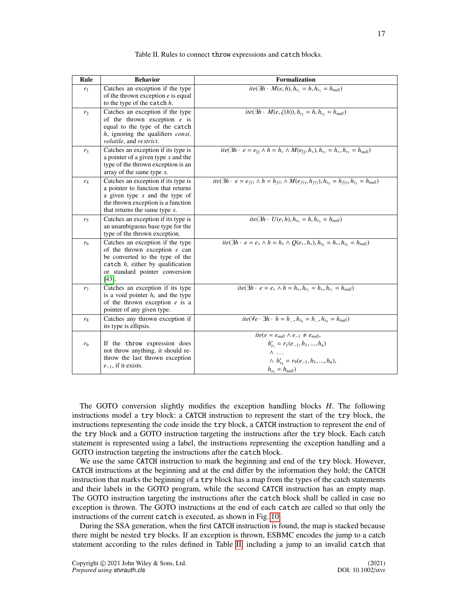<span id="page-16-0"></span>

| Rule           | <b>Behavior</b>                                                                                                                                                                             | Formalization                                                                                                                                              |
|----------------|---------------------------------------------------------------------------------------------------------------------------------------------------------------------------------------------|------------------------------------------------------------------------------------------------------------------------------------------------------------|
| $r_1$          | Catches an exception if the type<br>of the thrown exception $e$ is equal<br>to the type of the catch $h$ .                                                                                  | $ite(\exists h \cdot M(e, h), h_{r_1} = h, h_{r_1} = h_{null})$                                                                                            |
| r <sub>2</sub> | Catches an exception if the type<br>of the thrown exception $e$ is<br>equal to the type of the catch<br>h, ignoring the qualifiers const,<br>volatile, and restrict.                        | $ite(\exists h \cdot M(e, \zeta(h)), h_{r_2} = h, h_{r_2} = h_{null})$                                                                                     |
| $r_3$          | Catches an exception if its type is<br>a pointer of a given type $x$ and the<br>type of the thrown exception is an<br>array of the same type $x$ .                                          | $\overline{ite(\exists h \cdot e} = e_{[]} \land h = h_* \land M(e_{[]}, h_*), h_{r_3} = h_*, h_{r_3} = h_{null})$                                         |
| $r_4$          | Catches an exception if its type is<br>a pointer to function that returns<br>a given type $x$ and the type of<br>the thrown exception is a function<br>that returns the same type $x$ .     | $ite(\exists h \cdot e = e_{f0} \land h = h_{f0} \land M(e_{f0}, h_{f0}), h_{r_4} = h_{f0}, h_{r_4} = h_{null})$                                           |
| r <sub>5</sub> | Catches an exception if its type is<br>an unambiguous base type for the<br>type of the thrown exception.                                                                                    | $ite(\exists h \cdot U(e, h), h_{rs} = h, h_{rs} = h_{null})$                                                                                              |
| r <sub>6</sub> | Catches an exception if the type<br>of the thrown exception $e$ can<br>be converted to the type of the<br>catch $h$ , either by qualification<br>or standard pointer conversion<br>$[43]$ . | $ite(\exists h \cdot e = e_* \land h = h_* \land Q(e_*, h_*), h_{r_6} = h_*, h_{r_6} = h_{null})$                                                          |
| r <sub>7</sub> | Catches an exception if its type<br>is a void pointer $hv$ and the type<br>of the thrown exception $e$ is a<br>pointer of any given type.                                                   | $ite(\exists h \cdot e = e_* \land h = h_v, h_{r_1} = h_v, h_{r_1} = h_{null})$                                                                            |
| $r_8$          | Catches any thrown exception if<br>its type is ellipsis.                                                                                                                                    | $ite(\forall e \cdot \exists h \cdot h = h_{\dots}, h_{r_8} = h_{\dots}, h_{r_8} = h_{null})$                                                              |
| r <sub>9</sub> | If the throw expression does<br>not throw anything, it should re-<br>throw the last thrown exception<br>$e_{-1}$ , if it exists.                                                            | $ite(e = enull \wedge e-1 \neq enull$<br>$h'_{r_1} = r_1(e_{-1}, h_1, , h_n)$<br>Λ<br>$\wedge h'_{r_0} = r_9(e_{-1}, h_1, , h_n),$<br>$h_{r_0} = h_{null}$ |

Table II. Rules to connect throw expressions and catch blocks.

The GOTO conversion slightly modifies the exception handling blocks *H*. The following instructions model a try block: a CATCH instruction to represent the start of the try block, the instructions representing the code inside the try block, a CATCH instruction to represent the end of the try block and a GOTO instruction targeting the instructions after the try block. Each catch statement is represented using a label, the instructions representing the exception handling and a GOTO instruction targeting the instructions after the catch block.

We use the same CATCH instruction to mark the beginning and end of the try block. However, CATCH instructions at the beginning and at the end differ by the information they hold; the CATCH instruction that marks the beginning of a try block has a map from the types of the catch statements and their labels in the GOTO program, while the second CATCH instruction has an empty map. The GOTO instruction targeting the instructions after the catch block shall be called in case no exception is thrown. The GOTO instructions at the end of each catch are called so that only the instructions of the current catch is executed, as shown in Fig. [10.](#page-17-0)

During the SSA generation, when the first CATCH instruction is found, the map is stacked because there might be nested try blocks. If an exception is thrown, ESBMC encodes the jump to a catch statement according to the rules defined in Table [II,](#page-16-0) including a jump to an invalid catch that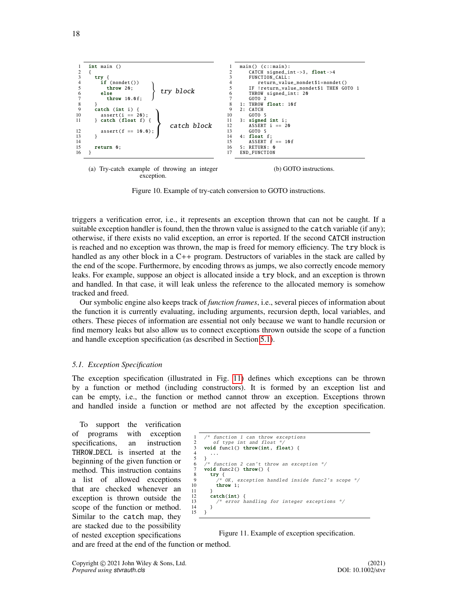<span id="page-17-0"></span>

(a) Try-catch example of throwing an integer exception. (b) GOTO instructions.

Figure 10. Example of try-catch conversion to GOTO instructions.

triggers a verification error, i.e., it represents an exception thrown that can not be caught. If a suitable exception handler is found, then the thrown value is assigned to the catch variable (if any); otherwise, if there exists no valid exception, an error is reported. If the second CATCH instruction is reached and no exception was thrown, the map is freed for memory efficiency. The try block is handled as any other block in a C++ program. Destructors of variables in the stack are called by the end of the scope. Furthermore, by encoding throws as jumps, we also correctly encode memory leaks. For example, suppose an object is allocated inside a try block, and an exception is thrown and handled. In that case, it will leak unless the reference to the allocated memory is somehow tracked and freed.

Our symbolic engine also keeps track of *function frames*, i.e., several pieces of information about the function it is currently evaluating, including arguments, recursion depth, local variables, and others. These pieces of information are essential not only because we want to handle recursion or find memory leaks but also allow us to connect exceptions thrown outside the scope of a function and handle exception specification (as described in Section [5.1\)](#page-17-1).

#### <span id="page-17-1"></span>*5.1. Exception Specification*

The exception specification (illustrated in Fig. [11\)](#page-17-2) defines which exceptions can be thrown by a function or method (including constructors). It is formed by an exception list and can be empty, i.e., the function or method cannot throw an exception. Exceptions thrown and handled inside a function or method are not affected by the exception specification.

To support the verification of programs with exception specifications, an instruction THROW DECL is inserted at the beginning of the given function or method. This instruction contains a list of allowed exceptions that are checked whenever an exception is thrown outside the scope of the function or method. Similar to the catch map, they are stacked due to the possibility of nested exception specifications

```
function 1 can throw exceptions
2 of type int and float<br>3 yould funci() throw(int
3 void func1() throw(int, float) {
 4 ...
\begin{matrix} 5 & 3 \\ 6 & 7 \end{matrix}6 \frac{1}{r} function 2 can't throw an exception \frac{1}{r}<br>7 yould func2() throw() f
      void func2() throw() {
8 try {<br>9 /* OK, exception handled inside func2's scope */<br>10 throw 1;
\frac{11}{12}12 catch(int) {<br>13 /* error }
             /* error handling for integer exceptions */\begin{matrix} 14 & 3 \\ 15 & 3 \end{matrix}15 }
```
Figure 11. Example of exception specification.

and are freed at the end of the function or method.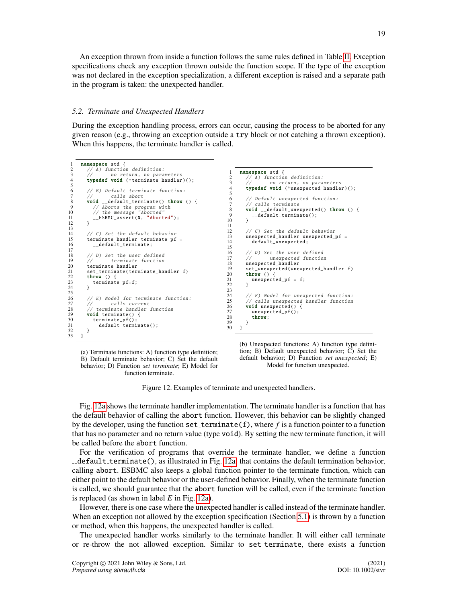An exception thrown from inside a function follows the same rules defined in Table [II.](#page-16-0) Exception specifications check any exception thrown outside the function scope. If the type of the exception was not declared in the exception specialization, a different exception is raised and a separate path in the program is taken: the unexpected handler.

#### <span id="page-18-0"></span>*5.2. Terminate and Unexpected Handlers*

During the exception handling process, errors can occur, causing the process to be aborted for any given reason (e.g., throwing an exception outside a try block or not catching a thrown exception). When this happens, the terminate handler is called.

```
1 namespace std {<br>2 // A) function definition:
 3 // no return, no parameters<br>4 typedef yoid (*terminate handler
           typedef void (*terminate_handler)();
 \frac{5}{6}\begin{array}{cc} 6 & // B) \text{ Default terminate function:} \\ 7 & // \text{ calls short} \end{array}7 // calls abort<br>8 void default_term<br>9 // Aborts the pro
  8 void __default_terminate() throw () {<br>9 // Aborts the program with
10 // the message "Aborted"<br>11 ESBMC assert (0. "Aborte
           -ESBMC_assert (0, "Aborted");
12 }
\frac{13}{14}14 // C) Set the default behavior<br>15 terminate_handler terminate_pf
15 terminate_handler terminate_pf =<br>15 terminate_handler terminate_pf =
              __default_terminate;
\frac{17}{18}18 // D) Set the user defined<br>19 // terminate function
\frac{19}{20} // terminate function
20 terminate_handler<br>21 set_terminate(term
21 set_terminate(terminate_handler f)<br>22 throw () {
22 throw () {<br>23 terminate_pf=f;<br>24 }
rac{25}{26}26 // E) Model for terminate function: 27 // calls current27 // calls current
28 // terminate handler function
29 void terminate () {<br>30 terminate_pf();
30 terminate_pf();<br>31 __default_termi
          \frac{1}{3} \frac{1}{3} default_terminate();
\frac{32}{33}<sup>3</sup></sup>
                                                                                                1 namespace std {<br>2 \frac{7}{4} function
                                                                                                \begin{array}{ccc} 2 & // A) & function definition: \\ 3 & // & no return, no para. \end{array}\frac{3}{4} // no return, no parameters
                                                                                                         typedef void (*unexpected_handler)();
                                                                                                \frac{5}{6}6 // Default unexpected function:<br>7 // calls terminate
                                                                                                7 // calls terminate<br>8 void __default_une<br>9 ___default_termin
                                                                                                         8 void __default_unexpected () throw () {
                                                                                                         example.com/<br>default_terminate();<br>}
                                                                                              10\,\begin{array}{c} 11 \\ 12 \end{array}12 // C) Set the default behavior<br>13 unexpected handler unexpected
                                                                                              13 unexpected_handler unexpected_pf =<br>14 default unexpected:
                                                                                                            default unexpected:
                                                                                              \frac{15}{16}16 // D) Set the user defined<br>17 // unexpected function
                                                                                              17 // unexpected function<br>18 unexpected_handler
                                                                                              18 unexpected_handler<br>19 set unexpected (une
                                                                                              19 set_unexpected (unexpected_handler f)<br>20 throw () {
                                                                                              20 throw () {<br>21 unexpected
                                                                                                         \frac{1}{2} unexpected_pf = f;
                                                                                              22\frac{23}{24}24 \frac{1}{25} // E) Model for unexpected function:<br>25 // calls unexpected handler function
                                                                                              25 \frac{1}{2} calls unexpected handler function<br>26 void unexpected() {
                                                                                              26 void unexpected () {<br>27 unexpected_pf();
                                                                                              27 unexpected_pf();<br>
28 throw:
                                                                                                         throw;\frac{29}{30}\overline{\ }
```
<span id="page-18-1"></span>(a) Terminate functions: A) function type definition; B) Default terminate behavior; C) Set the default behavior; D) Function *set terminate*; E) Model for function terminate.

<span id="page-18-2"></span>(b) Unexpected functions: A) function type definition; B) Default unexpected behavior; C) Set the default behavior; D) Function *set unexpected*; E) Model for function unexpected.

Figure 12. Examples of terminate and unexpected handlers.

Fig. [12a](#page-18-1) shows the terminate handler implementation. The terminate handler is a function that has the default behavior of calling the abort function. However, this behavior can be slightly changed by the developer, using the function  $set$  terminate(f), where f is a function pointer to a function that has no parameter and no return value (type void). By setting the new terminate function, it will be called before the abort function.

For the verification of programs that override the terminate handler, we define a function  $\Box$ default  $\bot$ terminate(), as illustrated in Fig. [12a,](#page-18-1) that contains the default termination behavior, calling abort. ESBMC also keeps a global function pointer to the terminate function, which can either point to the default behavior or the user-defined behavior. Finally, when the terminate function is called, we should guarantee that the abort function will be called, even if the terminate function is replaced (as shown in label *E* in Fig. [12a\)](#page-18-1).

However, there is one case where the unexpected handler is called instead of the terminate handler. When an exception not allowed by the exception specification (Section [5.1\)](#page-17-1) is thrown by a function or method, when this happens, the unexpected handler is called.

The unexpected handler works similarly to the terminate handler. It will either call terminate or re-throw the not allowed exception. Similar to set terminate, there exists a function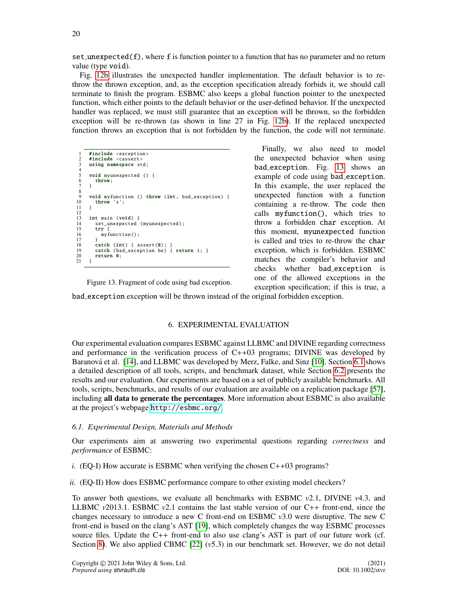$set$  unexpected(f), where f is function pointer to a function that has no parameter and no return value (type void).

Fig. [12b](#page-18-2) illustrates the unexpected handler implementation. The default behavior is to rethrow the thrown exception, and, as the exception specification already forbids it, we should call terminate to finish the program. ESBMC also keeps a global function pointer to the unexpected function, which either points to the default behavior or the user-defined behavior. If the unexpected handler was replaced, we must still guarantee that an exception will be thrown, so the forbidden exception will be re-thrown (as shown in line 27 in Fig. [12b\)](#page-18-2). If the replaced unexpected function throws an exception that is not forbidden by the function, the code will not terminate.

<span id="page-19-1"></span>

| 1              | #include <exception></exception>                              |
|----------------|---------------------------------------------------------------|
| 2              | #include <cassert></cassert>                                  |
| 3              | using namespace std;                                          |
| $\overline{4}$ |                                                               |
| 5              | <b>void</b> myunexpected $()$ {                               |
| 6              | throw;                                                        |
| $\tau$         | ł                                                             |
| 8              |                                                               |
| 9              | <b>void</b> myfunction () <b>throw</b> (int, bad_exception) { |
| 10             | throw 'x';                                                    |
| 11             | ł                                                             |
| 12             |                                                               |
| 13             | int main (void) {                                             |
| 14             | set_unexpected (myunexpected);                                |
| 15             | try {                                                         |
| 16             | $myfunction()$ :                                              |
| 17             | ł                                                             |
| 18             | $catch (int) { assert(0)}$ ; }                                |
| 19             | catch (bad_exception be) { return 1; }                        |
| 20             | return 0;                                                     |
| 21             | ł                                                             |
|                |                                                               |
|                |                                                               |

Finally, we also need to model the unexpected behavior when using bad exception. Fig. [13](#page-19-1) shows an example of code using bad\_exception. In this example, the user replaced the unexpected function with a function containing a re-throw. The code then calls myfunction(), which tries to throw a forbidden char exception. At this moment, myunexpected function is called and tries to re-throw the char exception, which is forbidden. ESBMC matches the compiler's behavior and checks whether bad exception is one of the allowed exceptions in the exception specification; if this is true, a

Figure 13. Fragment of code using bad exception.

bad exception exception will be thrown instead of the original forbidden exception.

# 6. EXPERIMENTAL EVALUATION

<span id="page-19-0"></span>Our experimental evaluation compares ESBMC against LLBMC and DIVINE regarding correctness and performance in the verification process of  $C++03$  programs; DIVINE was developed by Baranová et al. [\[14\]](#page-28-6), and LLBMC was developed by Merz, Falke, and Sinz [\[10\]](#page-27-8). Section [6.1](#page-19-2) shows a detailed description of all tools, scripts, and benchmark dataset, while Section [6.2](#page-21-0) presents the results and our evaluation. Our experiments are based on a set of publicly available benchmarks. All tools, scripts, benchmarks, and results of our evaluation are available on a replication package [\[57\]](#page-29-8), including all data to generate the percentages. More information about ESBMC is also available at the project's webpage <http://esbmc.org/>.

# <span id="page-19-2"></span>*6.1. Experimental Design, Materials and Methods*

Our experiments aim at answering two experimental questions regarding *correctness* and *performance* of ESBMC:

*i.* (EQ-I) How accurate is ESBMC when verifying the chosen  $C++03$  programs?

*ii.* (EQ-II) How does ESBMC performance compare to other existing model checkers?

To answer both questions, we evaluate all benchmarks with ESBMC *<sup>v</sup>*2.1, DIVINE *<sup>v</sup>*4.3, and LLBMC  $v2013.1$ . ESBMC  $v2.1$  contains the last stable version of our C++ front-end, since the changes necessary to introduce a new C front-end on ESBMC *<sup>v</sup>*3.0 were disruptive. The new C front-end is based on the clang's AST [\[19\]](#page-28-26), which completely changes the way ESBMC processes source files. Update the C++ front-end to also use clang's AST is part of our future work (cf. Section [8\)](#page-26-0). We also applied CBMC [\[22\]](#page-28-8) (*v*5.3) in our benchmark set. However, we do not detail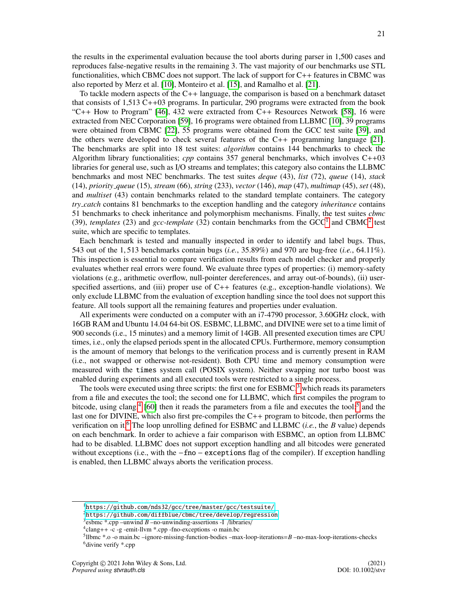the results in the experimental evaluation because the tool aborts during parser in 1,500 cases and reproduces false-negative results in the remaining 3. The vast majority of our benchmarks use STL functionalities, which CBMC does not support. The lack of support for C++ features in CBMC was also reported by Merz et al. [\[10\]](#page-27-8), Monteiro et al. [\[15\]](#page-28-0), and Ramalho et al. [\[21\]](#page-28-7).

To tackle modern aspects of the C++ language, the comparison is based on a benchmark dataset that consists of 1,513 C++03 programs. In particular, 290 programs were extracted from the book "C++ How to Program" [\[46\]](#page-28-33), 432 were extracted from C++ Resources Network [\[58\]](#page-29-9), 16 were extracted from NEC Corporation [\[59\]](#page-29-10), 16 programs were obtained from LLBMC [\[10\]](#page-27-8), 39 programs were obtained from CBMC [\[22\]](#page-28-8), 55 programs were obtained from the GCC test suite [\[39\]](#page-28-25), and the others were developed to check several features of the C++ programming language [\[21\]](#page-28-7). The benchmarks are split into 18 test suites: *algorithm* contains 144 benchmarks to check the Algorithm library functionalities; *cpp* contains 357 general benchmarks, which involves C++03 libraries for general use, such as I/O streams and templates; this category also contains the LLBMC benchmarks and most NEC benchmarks. The test suites *deque* (43), *list* (72), *queue* (14), *stack* (14), *priority queue* (15), *stream* (66), *string* (233), *vector* (146), *map* (47), *multimap* (45), *set* (48), and *multiset* (43) contain benchmarks related to the standard template containers. The category *try catch* contains 81 benchmarks to the exception handling and the category *inheritance* contains 51 benchmarks to check inheritance and polymorphism mechanisms. Finally, the test suites *cbmc* (39), *templates* ([2](#page-20-1)3) and *gcc-template* (32) contain benchmarks from the  $GCC<sup>1</sup>$  $GCC<sup>1</sup>$  $GCC<sup>1</sup>$  and  $CBMC<sup>2</sup>$  test suite, which are specific to templates.

Each benchmark is tested and manually inspected in order to identify and label bugs. Thus, 543 out of the 1, 513 benchmarks contain bugs (*i.e.*, 35.89%) and 970 are bug-free (*i.e.*, 64.11%). This inspection is essential to compare verification results from each model checker and properly evaluates whether real errors were found. We evaluate three types of properties: (i) memory-safety violations (e.g., arithmetic overflow, null-pointer dereferences, and array out-of-bounds), (ii) userspecified assertions, and (iii) proper use of  $C_{++}$  features (e.g., exception-handle violations). We only exclude LLBMC from the evaluation of exception handling since the tool does not support this feature. All tools support all the remaining features and properties under evaluation.

All experiments were conducted on a computer with an i7-4790 processor, 3.60GHz clock, with 16GB RAM and Ubuntu 14.04 64-bit OS. ESBMC, LLBMC, and DIVINE were set to a time limit of 900 seconds (i.e., 15 minutes) and a memory limit of 14GB. All presented execution times are CPU times, i.e., only the elapsed periods spent in the allocated CPUs. Furthermore, memory consumption is the amount of memory that belongs to the verification process and is currently present in RAM (i.e., not swapped or otherwise not-resident). Both CPU time and memory consumption were measured with the times system call (POSIX system). Neither swapping nor turbo boost was enabled during experiments and all executed tools were restricted to a single process.

The tools were executed using three scripts: the first one for  $\text{ESBMC}^3$  $\text{ESBMC}^3$  which reads its parameters from a file and executes the tool; the second one for LLBMC, which first compiles the program to bitcode, using clang,<sup>[4](#page-20-3)</sup> [\[60\]](#page-29-11) then it reads the parameters from a file and executes the tool;<sup>[5](#page-20-4)</sup> and the last one for DIVINE, which also first pre-compiles the C++ program to bitcode, then performs the verification on it.[6](#page-20-5) The loop unrolling defined for ESBMC and LLBMC (*i.e.*, the *B* value) depends on each benchmark. In order to achieve a fair comparison with ESBMC, an option from LLBMC had to be disabled. LLBMC does not support exception handling and all bitcodes were generated without exceptions (i.e., with the −fno − exceptions flag of the compiler). If exception handling is enabled, then LLBMC always aborts the verification process.

<span id="page-20-0"></span><sup>1</sup><https://github.com/nds32/gcc/tree/master/gcc/testsuite/>

<span id="page-20-1"></span><sup>2</sup><https://github.com/diffblue/cbmc/tree/develop/regression>

<span id="page-20-2"></span><sup>3</sup> esbmc \*.cpp –unwind *B* –no-unwinding-assertions -I /libraries/

<span id="page-20-3"></span><sup>4</sup> clang++ -c -g -emit-llvm \*.cpp -fno-exceptions -o main.bc

<span id="page-20-5"></span><span id="page-20-4"></span><sup>5</sup> llbmc \*.o -o main.bc –ignore-missing-function-bodies –max-loop-iterations=*B* –no-max-loop-iterations-checks <sup>6</sup>divine verify \*.cpp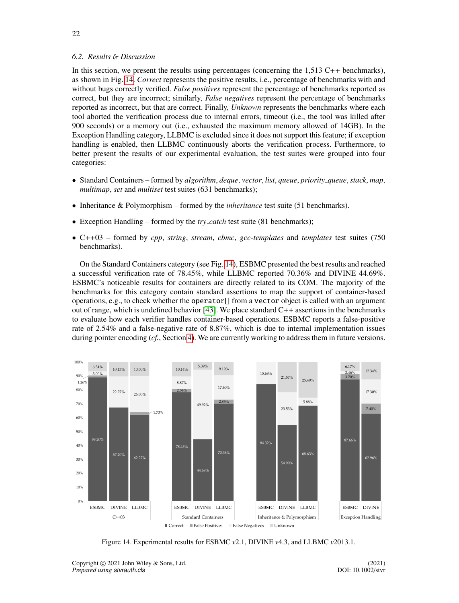# <span id="page-21-0"></span>*6.2. Results* & *Discussion*

In this section, we present the results using percentages (concerning the 1,513 C++ benchmarks), as shown in Fig. [14.](#page-21-1) *Correct* represents the positive results, i.e., percentage of benchmarks with and without bugs correctly verified. *False positives* represent the percentage of benchmarks reported as correct, but they are incorrect; similarly, *False negatives* represent the percentage of benchmarks reported as incorrect, but that are correct. Finally, *Unknown* represents the benchmarks where each tool aborted the verification process due to internal errors, timeout (i.e., the tool was killed after 900 seconds) or a memory out (i.e., exhausted the maximum memory allowed of 14GB). In the Exception Handling category, LLBMC is excluded since it does not support this feature; if exception handling is enabled, then LLBMC continuously aborts the verification process. Furthermore, to better present the results of our experimental evaluation, the test suites were grouped into four categories:

- Standard Containers formed by *algorithm*, *deque*, *vector*, *list*, *queue*, *priority queue*, *stack*, *map*, *multimap*, *set* and *multiset* test suites (631 benchmarks);
- Inheritance & Polymorphism formed by the *inheritance* test suite (51 benchmarks).
- Exception Handling formed by the *try\_catch* test suite (81 benchmarks);
- C++03 formed by *cpp*, *string*, *stream*, *cbmc*, *gcc-templates* and *templates* test suites (750 benchmarks).

On the Standard Containers category (see Fig. [14\)](#page-21-1), ESBMC presented the best results and reached a successful verification rate of 78.45%, while LLBMC reported 70.36% and DIVINE 44.69%. ESBMC's noticeable results for containers are directly related to its COM. The majority of the benchmarks for this category contain standard assertions to map the support of container-based operations, e.g., to check whether the operator[] from a vector object is called with an argument out of range, which is undefined behavior [\[43\]](#page-28-30). We place standard  $C++$  assertions in the benchmarks to evaluate how each verifier handles container-based operations. ESBMC reports a false-positive rate of 2.54% and a false-negative rate of 8.87%, which is due to internal implementation issues during pointer encoding (*cf.*, Section [4\)](#page-8-0). We are currently working to address them in future versions.

<span id="page-21-1"></span>

Figure 14. Experimental results for ESBMC *<sup>v</sup>*2.1, DIVINE *<sup>v</sup>*4.3, and LLBMC *<sup>v</sup>*2013.1.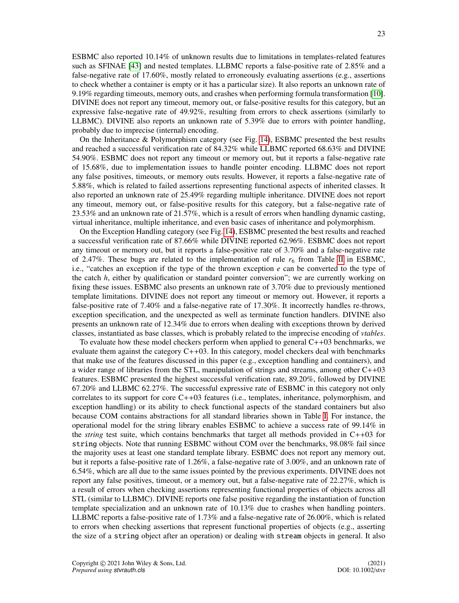ESBMC also reported 10.14% of unknown results due to limitations in templates-related features such as SFINAE [\[43\]](#page-28-30) and nested templates. LLBMC reports a false-positive rate of 2.85% and a false-negative rate of 17.60%, mostly related to erroneously evaluating assertions (e.g., assertions to check whether a container is empty or it has a particular size). It also reports an unknown rate of <sup>9</sup>.19% regarding timeouts, memory outs, and crashes when performing formula transformation [\[10\]](#page-27-8). DIVINE does not report any timeout, memory out, or false-positive results for this category, but an expressive false-negative rate of 49.92%, resulting from errors to check assertions (similarly to LLBMC). DIVINE also reports an unknown rate of 5.39% due to errors with pointer handling, probably due to imprecise (internal) encoding.

On the Inheritance & Polymorphism category (see Fig. [14\)](#page-21-1), ESBMC presented the best results and reached a successful verification rate of 84.32% while LLBMC reported 68.63% and DIVINE <sup>54</sup>.90%. ESBMC does not report any timeout or memory out, but it reports a false-negative rate of 15.68%, due to implementation issues to handle pointer encoding. LLBMC does not report any false positives, timeouts, or memory outs results. However, it reports a false-negative rate of <sup>5</sup>.88%, which is related to failed assertions representing functional aspects of inherited classes. It also reported an unknown rate of 25.49% regarding multiple inheritance. DIVINE does not report any timeout, memory out, or false-positive results for this category, but a false-negative rate of <sup>23</sup>.53% and an unknown rate of 21.57%, which is a result of errors when handling dynamic casting, virtual inheritance, multiple inheritance, and even basic cases of inheritance and polymorphism.

On the Exception Handling category (see Fig. [14\)](#page-21-1), ESBMC presented the best results and reached a successful verification rate of 87.66% while DIVINE reported 62.96%. ESBMC does not report any timeout or memory out, but it reports a false-positive rate of 3.70% and a false-negative rate of 2.47%. These bugs are related to the implementation of rule  $r_6$  from Table [II](#page-16-0) in ESBMC, i.e., "catches an exception if the type of the thrown exception *e* can be converted to the type of the catch *h*, either by qualification or standard pointer conversion"; we are currently working on fixing these issues. ESBMC also presents an unknown rate of 3.70% due to previously mentioned template limitations. DIVINE does not report any timeout or memory out. However, it reports a false-positive rate of 7.40% and a false-negative rate of 17.30%. It incorrectly handles re-throws, exception specification, and the unexpected as well as terminate function handlers. DIVINE also presents an unknown rate of 12.34% due to errors when dealing with exceptions thrown by derived classes, instantiated as base classes, which is probably related to the imprecise encoding of *vtables*.

To evaluate how these model checkers perform when applied to general  $C++03$  benchmarks, we evaluate them against the category  $C++03$ . In this category, model checkers deal with benchmarks that make use of the features discussed in this paper (e.g., exception handling and containers), and a wider range of libraries from the STL, manipulation of strings and streams, among other C++03 features. ESBMC presented the highest successful verification rate, 89.20%, followed by DIVINE <sup>67</sup>.20% and LLBMC 62.27%. The successful expressive rate of ESBMC in this category not only correlates to its support for core C++03 features (i.e., templates, inheritance, polymorphism, and exception handling) or its ability to check functional aspects of the standard containers but also because COM contains abstractions for all standard libraries shown in Table [I.](#page-9-3) For instance, the operational model for the string library enables ESBMC to achieve a success rate of 99.14% in the *string* test suite, which contains benchmarks that target all methods provided in C++03 for string objects. Note that running ESBMC without COM over the benchmarks, 98.08% fail since the majority uses at least one standard template library. ESBMC does not report any memory out, but it reports a false-positive rate of 1.26%, a false-negative rate of 3.00%, and an unknown rate of <sup>6</sup>.54%, which are all due to the same issues pointed by the previous experiments. DIVINE does not report any false positives, timeout, or a memory out, but a false-negative rate of 22.27%, which is a result of errors when checking assertions representing functional properties of objects across all STL (similar to LLBMC). DIVINE reports one false positive regarding the instantiation of function template specialization and an unknown rate of 10.13% due to crashes when handling pointers. LLBMC reports a false-positive rate of 1.73% and a false-negative rate of 26.00%, which is related to errors when checking assertions that represent functional properties of objects (e.g., asserting the size of a string object after an operation) or dealing with stream objects in general. It also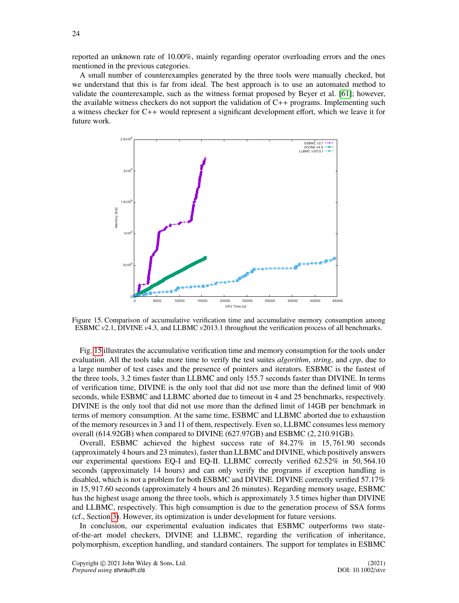reported an unknown rate of 10.00%, mainly regarding operator overloading errors and the ones mentioned in the previous categories.

A small number of counterexamples generated by the three tools were manually checked, but we understand that this is far from ideal. The best approach is to use an automated method to validate the counterexample, such as the witness format proposed by Beyer et al. [\[61\]](#page-29-12); however, the available witness checkers do not support the validation of  $C_{++}$  programs. Implementing such a witness checker for C++ would represent a significant development effort, which we leave it for future work.

<span id="page-23-0"></span>

Figure 15. Comparison of accumulative verification time and accumulative memory consumption among ESBMC *<sup>v</sup>*2.1, DIVINE *<sup>v</sup>*4.3, and LLBMC *<sup>v</sup>*2013.1 throughout the verification process of all benchmarks.

Fig. [15](#page-23-0) illustrates the accumulative verification time and memory consumption for the tools under evaluation. All the tools take more time to verify the test suites *algorithm*, *string*, and *cpp*, due to a large number of test cases and the presence of pointers and iterators. ESBMC is the fastest of the three tools, 3.2 times faster than LLBMC and only 155.7 seconds faster than DIVINE. In terms of verification time, DIVINE is the only tool that did not use more than the defined limit of 900 seconds, while ESBMC and LLBMC aborted due to timeout in 4 and 25 benchmarks, respectively. DIVINE is the only tool that did not use more than the defined limit of 14GB per benchmark in terms of memory consumption. At the same time, ESBMC and LLBMC aborted due to exhaustion of the memory resources in 3 and 11 of them, respectively. Even so, LLBMC consumes less memory overall (614.92GB) when compared to DIVINE (627.97GB) and ESBMC (2, <sup>210</sup>.91GB).

Overall, ESBMC achieved the highest success rate of 84.27% in 15, <sup>761</sup>.90 seconds (approximately 4 hours and 23 minutes), faster than LLBMC and DIVINE, which positively answers our experimental questions EQ-I and EQ-II. LLBMC correctly verified 62.52% in 50, <sup>564</sup>.<sup>10</sup> seconds (approximately 14 hours) and can only verify the programs if exception handling is disabled, which is not a problem for both ESBMC and DIVINE. DIVINE correctly verified 57.17% in 15, <sup>917</sup>.60 seconds (approximately 4 hours and 26 minutes). Regarding memory usage, ESBMC has the highest usage among the three tools, which is approximately 3.5 times higher than DIVINE and LLBMC, respectively. This high consumption is due to the generation process of SSA forms (cf., Section [3\)](#page-3-0). However, its optimization is under development for future versions.

In conclusion, our experimental evaluation indicates that ESBMC outperforms two stateof-the-art model checkers, DIVINE and LLBMC, regarding the verification of inheritance, polymorphism, exception handling, and standard containers. The support for templates in ESBMC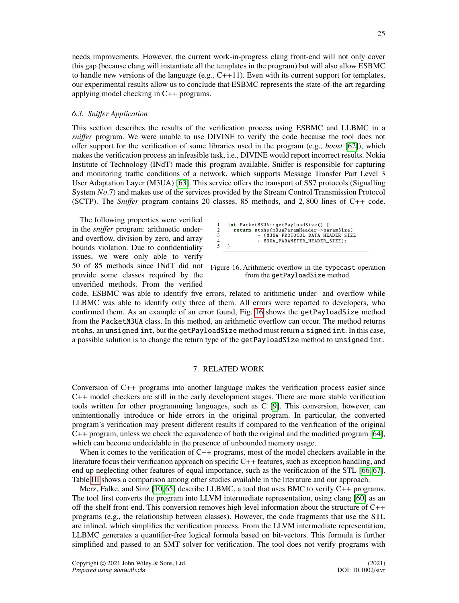needs improvements. However, the current work-in-progress clang front-end will not only cover this gap (because clang will instantiate all the templates in the program) but will also allow ESBMC to handle new versions of the language  $(e.g., C++11)$ . Even with its current support for templates, our experimental results allow us to conclude that ESBMC represents the state-of-the-art regarding applying model checking in C++ programs.

# *6.3. Sni*ff*er Application*

This section describes the results of the verification process using ESBMC and LLBMC in a *sniffer* program. We were unable to use DIVINE to verify the code because the tool does not offer support for the verification of some libraries used in the program (e.g., *boost* [\[62\]](#page-29-13)), which makes the verification process an infeasible task, i.e., DIVINE would report incorrect results. Nokia Institute of Technology (INdT) made this program available. Sniffer is responsible for capturing and monitoring traffic conditions of a network, which supports Message Transfer Part Level 3 User Adaptation Layer (M3UA) [\[63\]](#page-29-14). This service offers the transport of SS7 protocols (Signalling System *No*.7) and makes use of the services provided by the Stream Control Transmission Protocol (SCTP). The *Sni*ff*er* program contains 20 classes, 85 methods, and 2, 800 lines of C++ code.

The following properties were verified in the *sniffer* program: arithmetic underand overflow, division by zero, and array bounds violation. Due to confidentiality issues, we were only able to verify provide some classes required by the unverified methods. From the verified

<span id="page-24-1"></span>

| $int$ PacketM3UA::getPayloadSize() {     |
|------------------------------------------|
| return ntohs(m3uaParamHeader->paramSize) |
| - (M3UA_PROTOCOL_DATA_HEADER_SIZE        |
| + M3UA PARAMETER HEADER SIZE):           |
|                                          |
|                                          |

50 of 85 methods since INdT did not Figure 16. Arithmetic overflow in the typecast operation from the getPayloadSize method.

code, ESBMC was able to identify five errors, related to arithmetic under- and overflow while LLBMC was able to identify only three of them. All errors were reported to developers, who confirmed them. As an example of an error found, Fig. [16](#page-24-1) shows the getPayloadSize method from the PacketM3UA class. In this method, an arithmetic overflow can occur. The method returns ntohs, an unsigned int, but the getPayloadSize method must return a signed int. In this case, a possible solution is to change the return type of the getPayloadSize method to unsigned int.

# 7. RELATED WORK

<span id="page-24-0"></span>Conversion of C++ programs into another language makes the verification process easier since C++ model checkers are still in the early development stages. There are more stable verification tools written for other programming languages, such as C [\[9\]](#page-27-7). This conversion, however, can unintentionally introduce or hide errors in the original program. In particular, the converted program's verification may present different results if compared to the verification of the original C++ program, unless we check the equivalence of both the original and the modified program [\[64\]](#page-29-15), which can become undecidable in the presence of unbounded memory usage.

When it comes to the verification of C++ programs, most of the model checkers available in the literature focus their verification approach on specific C++ features, such as exception handling, and end up neglecting other features of equal importance, such as the verification of the STL [\[66,](#page-29-16) [67\]](#page-29-17). Table [III](#page-25-0) shows a comparison among other studies available in the literature and our approach.

Merz, Falke, and Sinz [\[10,](#page-27-8) [65\]](#page-29-18) describe LLBMC, a tool that uses BMC to verify C++ programs. The tool first converts the program into LLVM intermediate representation, using clang [\[60\]](#page-29-11) as an off-the-shelf front-end. This conversion removes high-level information about the structure of C++ programs (e.g., the relationship between classes). However, the code fragments that use the STL are inlined, which simplifies the verification process. From the LLVM intermediate representation, LLBMC generates a quantifier-free logical formula based on bit-vectors. This formula is further simplified and passed to an SMT solver for verification. The tool does not verify programs with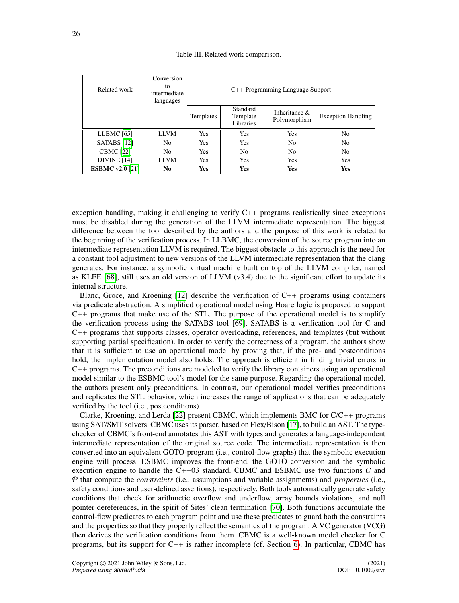| Table III. Related work comparison. |  |  |
|-------------------------------------|--|--|
|-------------------------------------|--|--|

<span id="page-25-0"></span>

| Related work           | Conversion<br>tο<br>intermediate<br>languages | C++ Programming Language Support |                                   |                                  |                           |
|------------------------|-----------------------------------------------|----------------------------------|-----------------------------------|----------------------------------|---------------------------|
|                        |                                               | Templates                        | Standard<br>Template<br>Libraries | Inheritance $\&$<br>Polymorphism | <b>Exception Handling</b> |
| LLBMC $[65]$           | <b>LLVM</b>                                   | <b>Yes</b>                       | <b>Yes</b>                        | <b>Yes</b>                       | N <sub>0</sub>            |
| SATABS $[12]$          | No.                                           | <b>Yes</b>                       | Yes                               | N <sub>0</sub>                   | N <sub>0</sub>            |
| <b>CBMC</b> [22]       | No.                                           | <b>Yes</b>                       | No                                | N <sub>0</sub>                   | N <sub>0</sub>            |
| <b>DIVINE</b> [14]     | <b>LLVM</b>                                   | Yes                              | <b>Yes</b>                        | Yes                              | Yes                       |
| <b>ESBMC v2.0 [21]</b> | No                                            | Yes                              | <b>Yes</b>                        | <b>Yes</b>                       | Yes                       |

exception handling, making it challenging to verify C++ programs realistically since exceptions must be disabled during the generation of the LLVM intermediate representation. The biggest difference between the tool described by the authors and the purpose of this work is related to the beginning of the verification process. In LLBMC, the conversion of the source program into an intermediate representation LLVM is required. The biggest obstacle to this approach is the need for a constant tool adjustment to new versions of the LLVM intermediate representation that the clang generates. For instance, a symbolic virtual machine built on top of the LLVM compiler, named as KLEE [\[68\]](#page-29-19), still uses an old version of LLVM (v3.4) due to the significant effort to update its internal structure.

Blanc, Groce, and Kroening [\[12\]](#page-28-4) describe the verification of C++ programs using containers via predicate abstraction. A simplified operational model using Hoare logic is proposed to support C++ programs that make use of the STL. The purpose of the operational model is to simplify the verification process using the SATABS tool [\[69\]](#page-29-20). SATABS is a verification tool for C and C++ programs that supports classes, operator overloading, references, and templates (but without supporting partial specification). In order to verify the correctness of a program, the authors show that it is sufficient to use an operational model by proving that, if the pre- and postconditions hold, the implementation model also holds. The approach is efficient in finding trivial errors in C++ programs. The preconditions are modeled to verify the library containers using an operational model similar to the ESBMC tool's model for the same purpose. Regarding the operational model, the authors present only preconditions. In contrast, our operational model verifies preconditions and replicates the STL behavior, which increases the range of applications that can be adequately verified by the tool (i.e., postconditions).

Clarke, Kroening, and Lerda [\[22\]](#page-28-8) present CBMC, which implements BMC for  $C/C++$  programs using SAT/SMT solvers. CBMC uses its parser, based on Flex/Bison [\[17\]](#page-28-2), to build an AST. The typechecker of CBMC's front-end annotates this AST with types and generates a language-independent intermediate representation of the original source code. The intermediate representation is then converted into an equivalent GOTO-program (i.e., control-flow graphs) that the symbolic execution engine will process. ESBMC improves the front-end, the GOTO conversion and the symbolic execution engine to handle the  $C+03$  standard. CBMC and ESBMC use two functions C and P that compute the *constraints* (i.e., assumptions and variable assignments) and *properties* (i.e., safety conditions and user-defined assertions), respectively. Both tools automatically generate safety conditions that check for arithmetic overflow and underflow, array bounds violations, and null pointer dereferences, in the spirit of Sites' clean termination [\[70\]](#page-29-21). Both functions accumulate the control-flow predicates to each program point and use these predicates to guard both the constraints and the properties so that they properly reflect the semantics of the program. A VC generator (VCG) then derives the verification conditions from them. CBMC is a well-known model checker for C programs, but its support for C++ is rather incomplete (cf. Section [6\)](#page-19-0). In particular, CBMC has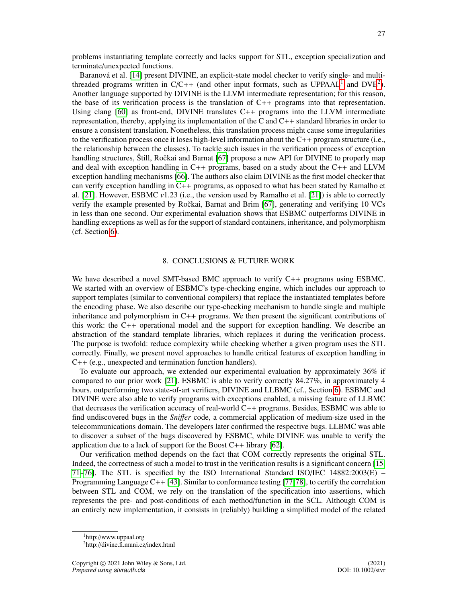problems instantiating template correctly and lacks support for STL, exception specialization and terminate/unexpected functions.

Baranová et al. [\[14\]](#page-28-6) present DIVINE, an explicit-state model checker to verify single- and multithreaded programs written in  $C/C++$  (and other input formats, such as  $UPPAAL<sup>1</sup>$  $UPPAAL<sup>1</sup>$  $UPPAAL<sup>1</sup>$  and  $DVE<sup>2</sup>$  $DVE<sup>2</sup>$  $DVE<sup>2</sup>$ ). Another language supported by DIVINE is the LLVM intermediate representation; for this reason, the base of its verification process is the translation of  $C_{++}$  programs into that representation. Using clang  $[60]$  as front-end, DIVINE translates  $C++$  programs into the LLVM intermediate representation, thereby, applying its implementation of the C and C++ standard libraries in order to ensure a consistent translation. Nonetheless, this translation process might cause some irregularities to the verification process once it loses high-level information about the C++ program structure (i.e., the relationship between the classes). To tackle such issues in the verification process of exception handling structures, Štill, Ročkai and Barnat [\[67\]](#page-29-17) propose a new API for DIVINE to properly map and deal with exception handling in C++ programs, based on a study about the C++ and LLVM exception handling mechanisms [\[66\]](#page-29-16). The authors also claim DIVINE as the first model checker that can verify exception handling in  $C_{++}$  programs, as opposed to what has been stated by Ramalho et al. [\[21\]](#page-28-7). However, ESBMC *<sup>v</sup>*1.23 (i.e., the version used by Ramalho et al. [\[21\]](#page-28-7)) is able to correctly verify the example presented by Ročkai, Barnat and Brim  $[67]$ , generating and verifying 10 VCs in less than one second. Our experimental evaluation shows that ESBMC outperforms DIVINE in handling exceptions as well as for the support of standard containers, inheritance, and polymorphism (cf. Section [6\)](#page-19-0).

#### 8. CONCLUSIONS & FUTURE WORK

<span id="page-26-0"></span>We have described a novel SMT-based BMC approach to verify C++ programs using ESBMC. We started with an overview of ESBMC's type-checking engine, which includes our approach to support templates (similar to conventional compilers) that replace the instantiated templates before the encoding phase. We also describe our type-checking mechanism to handle single and multiple inheritance and polymorphism in C++ programs. We then present the significant contributions of this work: the C++ operational model and the support for exception handling. We describe an abstraction of the standard template libraries, which replaces it during the verification process. The purpose is twofold: reduce complexity while checking whether a given program uses the STL correctly. Finally, we present novel approaches to handle critical features of exception handling in C++ (e.g., unexpected and termination function handlers).

To evaluate our approach, we extended our experimental evaluation by approximately 36% if compared to our prior work [\[21\]](#page-28-7). ESBMC is able to verify correctly 84.27%, in approximately 4 hours, outperforming two state-of-art verifiers, DIVINE and LLBMC (cf., Section [6\)](#page-19-0). ESBMC and DIVINE were also able to verify programs with exceptions enabled, a missing feature of LLBMC that decreases the verification accuracy of real-world C++ programs. Besides, ESBMC was able to find undiscovered bugs in the *Sni*ff*er* code, a commercial application of medium-size used in the telecommunications domain. The developers later confirmed the respective bugs. LLBMC was able to discover a subset of the bugs discovered by ESBMC, while DIVINE was unable to verify the application due to a lack of support for the Boost  $C_{++}$  library [\[62\]](#page-29-13).

Our verification method depends on the fact that COM correctly represents the original STL. Indeed, the correctness of such a model to trust in the verification results is a significant concern [\[15,](#page-28-0) [71–](#page-29-22)[76\]](#page-29-23). The STL is specified by the ISO International Standard ISO/IEC 14882:2003(E) – Programming Language  $C_{++}$  [\[43\]](#page-28-30). Similar to conformance testing [\[77,](#page-29-24)[78\]](#page-29-25), to certify the correlation between STL and COM, we rely on the translation of the specification into assertions, which represents the pre- and post-conditions of each method/function in the SCL. Although COM is an entirely new implementation, it consists in (reliably) building a simplified model of the related

<span id="page-26-1"></span><sup>1</sup>http://www.uppaal.org

<span id="page-26-2"></span><sup>2</sup>http://divine.fi.muni.cz/index.html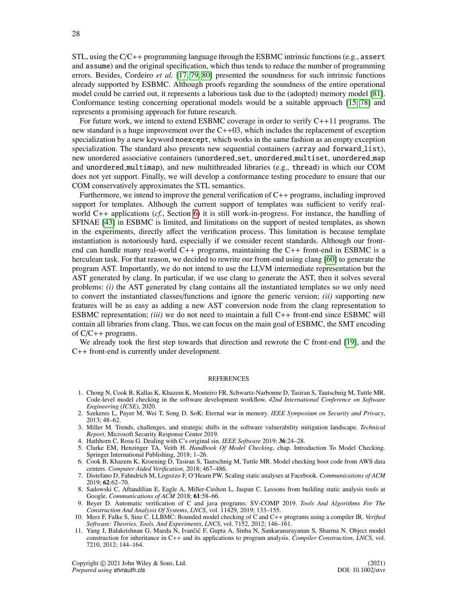STL, using the  $C/C++$  programming language through the ESBMC intrinsic functions (e.g., assert and assume) and the original specification, which thus tends to reduce the number of programming errors. Besides, Cordeiro *et al.* [\[17,](#page-28-2) [79,](#page-29-26) [80\]](#page-29-27) presented the soundness for such intrinsic functions already supported by ESBMC. Although proofs regarding the soundness of the entire operational model could be carried out, it represents a laborious task due to the (adopted) memory model [\[81\]](#page-29-28). Conformance testing concerning operational models would be a suitable approach [\[15,](#page-28-0) [78\]](#page-29-25) and represents a promising approach for future research.

For future work, we intend to extend ESBMC coverage in order to verify C++11 programs. The new standard is a huge improvement over the  $C++03$ , which includes the replacement of exception specialization by a new keyword noexcept, which works in the same fashion as an empty exception specialization. The standard also presents new sequential containers (array and forward list), new unordered associative containers (unordered set, unordered multiset, unordered map and unordered multimap), and new multithreaded libraries (e.g., thread) in which our COM does not yet support. Finally, we will develop a conformance testing procedure to ensure that our COM conservatively approximates the STL semantics.

Furthermore, we intend to improve the general verification of C++ programs, including improved support for templates. Although the current support of templates was sufficient to verify realworld C++ applications (*cf.*, Section [6\)](#page-19-0) it is still work-in-progress. For instance, the handling of SFINAE [\[43\]](#page-28-30) in ESBMC is limited, and limitations on the support of nested templates, as shown in the experiments, directly affect the verification process. This limitation is because template instantiation is notoriously hard, especially if we consider recent standards. Although our frontend can handle many real-world C++ programs, maintaining the C++ front-end in ESBMC is a herculean task. For that reason, we decided to rewrite our front-end using clang [\[60\]](#page-29-11) to generate the program AST. Importantly, we do not intend to use the LLVM intermediate representation but the AST generated by clang. In particular, if we use clang to generate the AST, then it solves several problems: *(i)* the AST generated by clang contains all the instantiated templates so we only need to convert the instantiated classes/functions and ignore the generic version; *(ii)* supporting new features will be as easy as adding a new AST conversion node from the clang representation to ESBMC representation; *(iii)* we do not need to maintain a full C++ front-end since ESBMC will contain all libraries from clang. Thus, we can focus on the main goal of ESBMC, the SMT encoding of C/C++ programs.

We already took the first step towards that direction and rewrote the C front-end [\[19\]](#page-28-26), and the C++ front-end is currently under development.

#### **REFERENCES**

- <span id="page-27-0"></span>1. Chong N, Cook B, Kallas K, Khazem K, Monteiro FR, Schwartz-Narbonne D, Tasiran S, Tautschnig M, Tuttle MR. Code-level model checking in the software development workflow. *42nd International Conference on Software Engineering (ICSE)*, 2020.
- <span id="page-27-1"></span>2. Szekeres L, Payer M, Wei T, Song D. SoK: Eternal war in memory. *IEEE Symposium on Security and Privacy*, 2013; 48–62.
- <span id="page-27-2"></span>3. Miller M. Trends, challenges, and strategic shifts in the software vulnerability mitigation landscape. *Technical Report*, Microsoft Security Response Center 2019.
- <span id="page-27-3"></span>4. Hathhorn C, Rosu G. Dealing with C's original sin. *IEEE Software* 2019; 36:24–28.
- <span id="page-27-4"></span>5. Clarke EM, Henzinger TA, Veith H. *Handbook Of Model Checking*, chap. Introduction To Model Checking. Springer International Publishing, 2018; 1–26.
- <span id="page-27-5"></span>6. Cook B, Khazem K, Kroening D, Tasiran S, Tautschnig M, Tuttle MR. Model checking boot code from AWS data centers. *Computer Aided Verification*, 2018; 467–486.
- 7. Distefano D, Fahndrich M, Logozzo F, O'Hearn PW. Scaling static analyses at Facebook. *Communications of ACM* 2019; 62:62–70.
- <span id="page-27-6"></span>8. Sadowski C, Aftandilian E, Eagle A, Miller-Cushon L, Jaspan C. Lessons from building static analysis tools at Google. *Communications of ACM* 2018; 61:58–66.
- <span id="page-27-7"></span>9. Beyer D. Automatic verification of C and java programs: SV-COMP 2019. *Tools And Algorithms For The Construction And Analysis Of Systems*, *LNCS*, vol. 11429, 2019; 133–155.
- <span id="page-27-8"></span>10. Merz F, Falke S, Sinz C. LLBMC: Bounded model checking of C and C++ programs using a compiler IR. *Verified Software: Theories, Tools, And Experiments*, *LNCS*, vol. 7152, 2012; 146–161.
- 11. Yang J, Balakrishnan G, Maeda N, Ivančić F, Gupta A, Sinha N, Sankaranarayanan S, Sharma N. Object model construction for inheritance in C++ and its applications to program analysis. *Compiler Construction*, *LNCS*, vol. 7210, 2012; 144–164.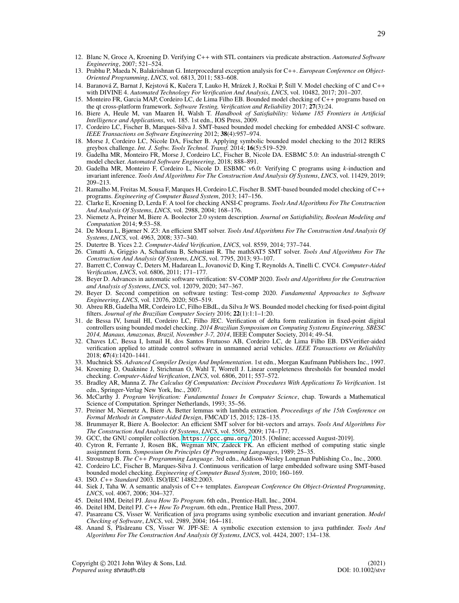- <span id="page-28-4"></span>12. Blanc N, Groce A, Kroening D. Verifying C++ with STL containers via predicate abstraction. *Automated Software Engineering*, 2007; 521–524.
- <span id="page-28-5"></span>13. Prabhu P, Maeda N, Balakrishnan G. Interprocedural exception analysis for C++. *European Conference on Object-Oriented Programming*, *LNCS*, vol. 6813, 2011; 583–608.
- <span id="page-28-6"></span>14. Baranová Z, Barnat J, Kejstová K, Kučera T, Lauko H, Mrázek J, Ročkai P, Štill V. Model checking of C and C++ with DIVINE 4. *Automated Technology For Verification And Analysis*, *LNCS*, vol. 10482, 2017; 201–207.
- <span id="page-28-0"></span>15. Monteiro FR, Garcia MAP, Cordeiro LC, de Lima Filho EB. Bounded model checking of C++ programs based on the qt cross-platform framework. *Software Testing, Verification and Reliability* 2017; 27(3):24.
- <span id="page-28-1"></span>16. Biere A, Heule M, van Maaren H, Walsh T. *Handbook of Satisfiability: Volume 185 Frontiers in Artificial Intelligence and Applications*, vol. 185. 1st edn., IOS Press, 2009.
- <span id="page-28-2"></span>17. Cordeiro LC, Fischer B, Marques-Silva J. SMT-based bounded model checking for embedded ANSI-C software. *IEEE Transactions on Software Engineering* 2012; 38(4):957–974.
- 18. Morse J, Cordeiro LC, Nicole DA, Fischer B. Applying symbolic bounded model checking to the 2012 RERS greybox challenge. *Int. J. Softw. Tools Technol. Transf.* 2014; 16(5):519–529.
- <span id="page-28-26"></span>19. Gadelha MR, Monteiro FR, Morse J, Cordeiro LC, Fischer B, Nicole DA. ESBMC 5.0: An industrial-strength C model checker. *Automated Software Engineering*, 2018; 888–891.
- <span id="page-28-3"></span>20. Gadelha MR, Monteiro F, Cordeiro L, Nicole D. ESBMC v6.0: Verifying C programs using *k*-induction and invariant inference. *Tools And Algorithms For The Construction And Analysis Of Systems*, *LNCS*, vol. 11429, 2019; 209–213.
- <span id="page-28-7"></span>21. Ramalho M, Freitas M, Sousa F, Marques H, Cordeiro LC, Fischer B. SMT-based bounded model checking of C++ programs. *Engineering of Computer Based System*, 2013; 147–156.
- <span id="page-28-8"></span>22. Clarke E, Kroening D, Lerda F. A tool for checking ANSI-C programs. *Tools And Algorithms For The Construction And Analysis Of Systems*, *LNCS*, vol. 2988, 2004; 168–176.
- <span id="page-28-9"></span>23. Niemetz A, Preiner M, Biere A. Boolector 2.0 system description. *Journal on Satisfiability, Boolean Modeling and Computation* 2014; 9:53–58.
- <span id="page-28-10"></span>24. De Moura L, Bjørner N. Z3: An efficient SMT solver. *Tools And Algorithms For The Construction And Analysis Of Systems*, *LNCS*, vol. 4963, 2008; 337–340.
- <span id="page-28-11"></span>25. Dutertre B. Yices 2.2. *Computer-Aided Verification*, *LNCS*, vol. 8559, 2014; 737–744.
- <span id="page-28-12"></span>26. Cimatti A, Griggio A, Schaafsma B, Sebastiani R. The mathSAT5 SMT solver. *Tools And Algorithms For The Construction And Analysis Of Systems*, *LNCS*, vol. 7795, 2013; 93–107.
- <span id="page-28-13"></span>27. Barrett C, Conway C, Deters M, Hadarean L, Jovanović D, King T, Reynolds A, Tinelli C. CVC4. Computer-Aided *Verification*, *LNCS*, vol. 6806, 2011; 171–177.
- <span id="page-28-14"></span>28. Beyer D. Advances in automatic software verification: SV-COMP 2020. *Tools and Algorithms for the Construction and Analysis of Systems*, *LNCS*, vol. 12079, 2020; 347–367.
- <span id="page-28-15"></span>29. Beyer D. Second competition on software testing: Test-comp 2020. *Fundamental Approaches to Software Engineering*, *LNCS*, vol. 12076, 2020; 505–519.
- <span id="page-28-16"></span>30. Abreu RB, Gadelha MR, Cordeiro LC, Filho EBdL, da Silva Jr WS. Bounded model checking for fixed-point digital filters. *Journal of the Brazilian Computer Society* 2016; 22(1):1:1–1:20.
- <span id="page-28-17"></span>31. de Bessa IV, Ismail HI, Cordeiro LC, Filho JEC. Verification of delta form realization in fixed-point digital controllers using bounded model checking. *2014 Brazilian Symposium on Computing Systems Engineering, SBESC 2014, Manaus, Amazonas, Brazil, November 3-7, 2014*, IEEE Computer Society, 2014; 49–54.
- <span id="page-28-18"></span>32. Chaves LC, Bessa I, Ismail H, dos Santos Frutuoso AB, Cordeiro LC, de Lima Filho EB. DSVerifier-aided verification applied to attitude control software in unmanned aerial vehicles. *IEEE Transactions on Reliability* 2018; 67(4):1420–1441.
- <span id="page-28-19"></span>33. Muchnick SS. *Advanced Compiler Design And Implementation*. 1st edn., Morgan Kaufmann Publishers Inc., 1997.
- <span id="page-28-20"></span>34. Kroening D, Ouaknine J, Strichman O, Wahl T, Worrell J. Linear completeness thresholds for bounded model checking. *Computer-Aided Verification*, *LNCS*, vol. 6806, 2011; 557–572.
- <span id="page-28-21"></span>35. Bradley AR, Manna Z. *The Calculus Of Computation: Decision Procedures With Applications To Verification*. 1st edn., Springer-Verlag New York, Inc., 2007.
- <span id="page-28-22"></span>36. McCarthy J. *Program Verification: Fundamental Issues In Computer Science*, chap. Towards a Mathematical Science of Computation. Springer Netherlands, 1993; 35–56.
- <span id="page-28-23"></span>37. Preiner M, Niemetz A, Biere A. Better lemmas with lambda extraction. *Proceedings of the 15th Conference on Formal Methods in Computer-Aided Design*, FMCAD'15, 2015; 128–135.
- <span id="page-28-24"></span>38. Brummayer R, Biere A. Boolector: An efficient SMT solver for bit-vectors and arrays. *Tools And Algorithms For The Construction And Analysis Of Systems*, *LNCS*, vol. 5505, 2009; 174–177.
- <span id="page-28-25"></span>39. GCC, the GNU compiler collection. <https://gcc.gnu.org/> 2015. [Online; accessed August-2019].
- <span id="page-28-27"></span>40. Cytron R, Ferrante J, Rosen BK, Wegman MN, Zadeck FK. An efficient method of computing static single assignment form. *Symposium On Principles Of Programming Languages*, 1989; 25–35.
- <span id="page-28-28"></span>41. Stroustrup B. *The C*++ *Programming Language*. 3rd edn., Addison-Wesley Longman Publishing Co., Inc., 2000.
- <span id="page-28-29"></span>42. Cordeiro LC, Fischer B, Marques-Silva J. Continuous verification of large embedded software using SMT-based bounded model checking. *Engineering of Computer Based System*, 2010; 160–169.
- <span id="page-28-30"></span>43. ISO. *C*++ *Standard* 2003. ISO/IEC 14882:2003.
- <span id="page-28-31"></span>44. Siek J, Taha W. A semantic analysis of C++ templates. *European Conference On Object-Oriented Programming*, *LNCS*, vol. 4067, 2006; 304–327.
- <span id="page-28-32"></span>45. Deitel HM, Deitel PJ. *Java How To Program*. 6th edn., Prentice-Hall, Inc., 2004.
- <span id="page-28-33"></span>46. Deitel HM, Deitel PJ. *C*++ *How To Program*. 6th edn., Prentice Hall Press, 2007.
- <span id="page-28-34"></span>47. Pasareanu CS, Visser W. Verification of java programs using symbolic execution and invariant generation. *Model Checking of Software*, *LNCS*, vol. 2989, 2004; 164–181.
- <span id="page-28-35"></span>48. Anand S, Păsăreanu CS, Visser W. JPF-SE: A symbolic execution extension to java pathfinder. Tools And *Algorithms For The Construction And Analysis Of Systems*, *LNCS*, vol. 4424, 2007; 134–138.